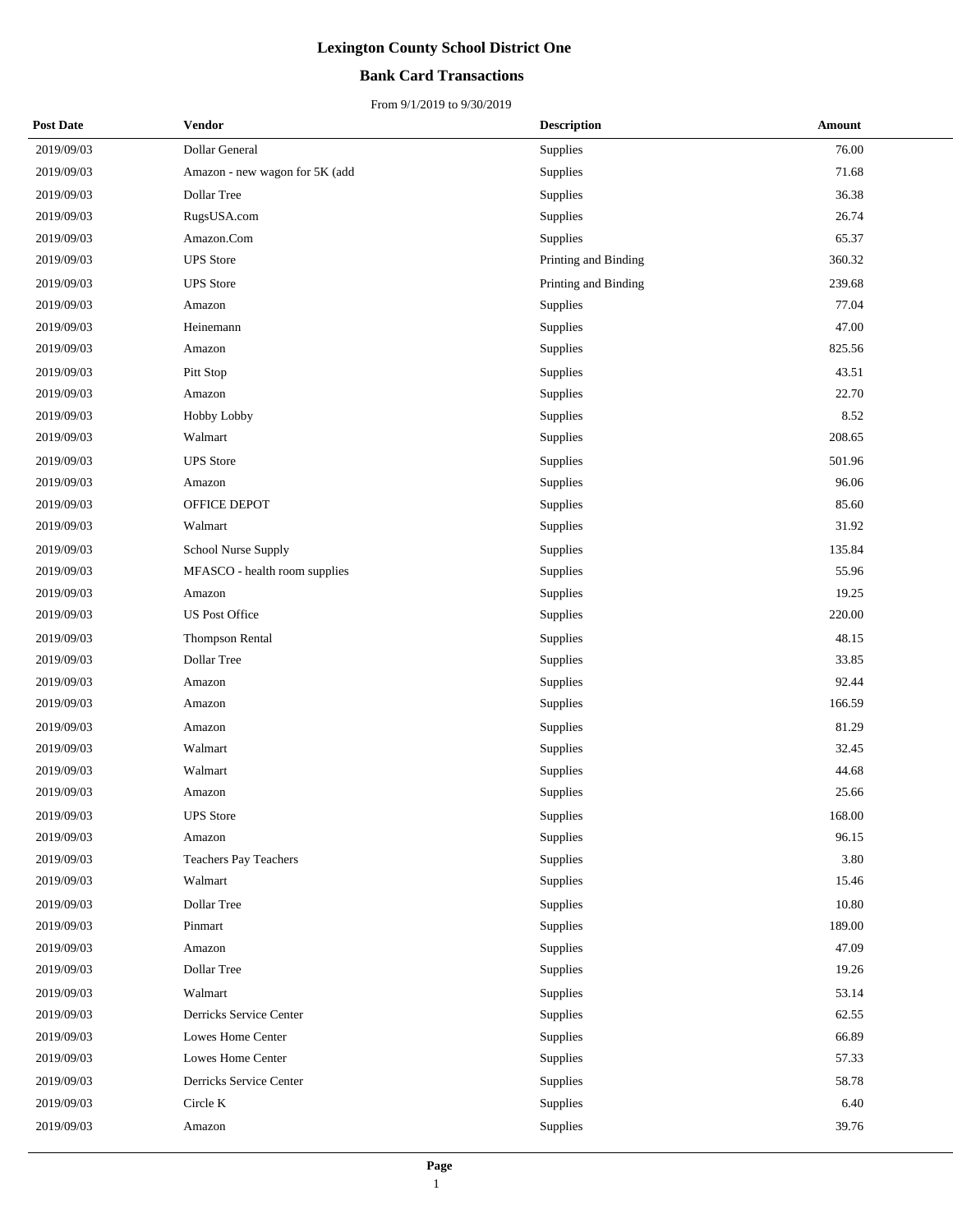### **Bank Card Transactions**

| <b>Post Date</b> | Vendor                         | <b>Description</b>   | <b>Amount</b> |
|------------------|--------------------------------|----------------------|---------------|
| 2019/09/03       | Dollar General                 | Supplies             | 76.00         |
| 2019/09/03       | Amazon - new wagon for 5K (add | Supplies             | 71.68         |
| 2019/09/03       | Dollar Tree                    | Supplies             | 36.38         |
| 2019/09/03       | RugsUSA.com                    | Supplies             | 26.74         |
| 2019/09/03       | Amazon.Com                     | Supplies             | 65.37         |
| 2019/09/03       | <b>UPS</b> Store               | Printing and Binding | 360.32        |
| 2019/09/03       | <b>UPS</b> Store               | Printing and Binding | 239.68        |
| 2019/09/03       | Amazon                         | Supplies             | 77.04         |
| 2019/09/03       | Heinemann                      | Supplies             | 47.00         |
| 2019/09/03       | Amazon                         | Supplies             | 825.56        |
| 2019/09/03       | Pitt Stop                      | Supplies             | 43.51         |
| 2019/09/03       | Amazon                         | Supplies             | 22.70         |
| 2019/09/03       | Hobby Lobby                    | Supplies             | 8.52          |
| 2019/09/03       | Walmart                        | Supplies             | 208.65        |
| 2019/09/03       | <b>UPS</b> Store               | Supplies             | 501.96        |
| 2019/09/03       | Amazon                         | Supplies             | 96.06         |
| 2019/09/03       | OFFICE DEPOT                   | Supplies             | 85.60         |
| 2019/09/03       | Walmart                        | Supplies             | 31.92         |
| 2019/09/03       | School Nurse Supply            | Supplies             | 135.84        |
| 2019/09/03       | MFASCO - health room supplies  | Supplies             | 55.96         |
| 2019/09/03       | Amazon                         | Supplies             | 19.25         |
| 2019/09/03       | <b>US Post Office</b>          | Supplies             | 220.00        |
| 2019/09/03       | Thompson Rental                | Supplies             | 48.15         |
| 2019/09/03       | Dollar Tree                    | Supplies             | 33.85         |
| 2019/09/03       | Amazon                         | Supplies             | 92.44         |
| 2019/09/03       | Amazon                         | Supplies             | 166.59        |
| 2019/09/03       | Amazon                         | Supplies             | 81.29         |
| 2019/09/03       | Walmart                        | Supplies             | 32.45         |
| 2019/09/03       | Walmart                        | Supplies             | 44.68         |
| 2019/09/03       | Amazon                         | Supplies             | 25.66         |
| 2019/09/03       | <b>UPS</b> Store               | Supplies             | 168.00        |
| 2019/09/03       | Amazon                         | Supplies             | 96.15         |
| 2019/09/03       | <b>Teachers Pay Teachers</b>   | Supplies             | 3.80          |
| 2019/09/03       | Walmart                        | Supplies             | 15.46         |
| 2019/09/03       | Dollar Tree                    | Supplies             | 10.80         |
| 2019/09/03       | Pinmart                        | Supplies             | 189.00        |
| 2019/09/03       | Amazon                         | Supplies             | 47.09         |
| 2019/09/03       | Dollar Tree                    | Supplies             | 19.26         |
| 2019/09/03       | Walmart                        | Supplies             | 53.14         |
| 2019/09/03       | Derricks Service Center        | Supplies             | 62.55         |
| 2019/09/03       | Lowes Home Center              | Supplies             | 66.89         |
| 2019/09/03       | Lowes Home Center              | Supplies             | 57.33         |
| 2019/09/03       | Derricks Service Center        | Supplies             | 58.78         |
| 2019/09/03       | Circle K                       | Supplies             | 6.40          |
| 2019/09/03       | Amazon                         | Supplies             | 39.76         |
|                  |                                |                      |               |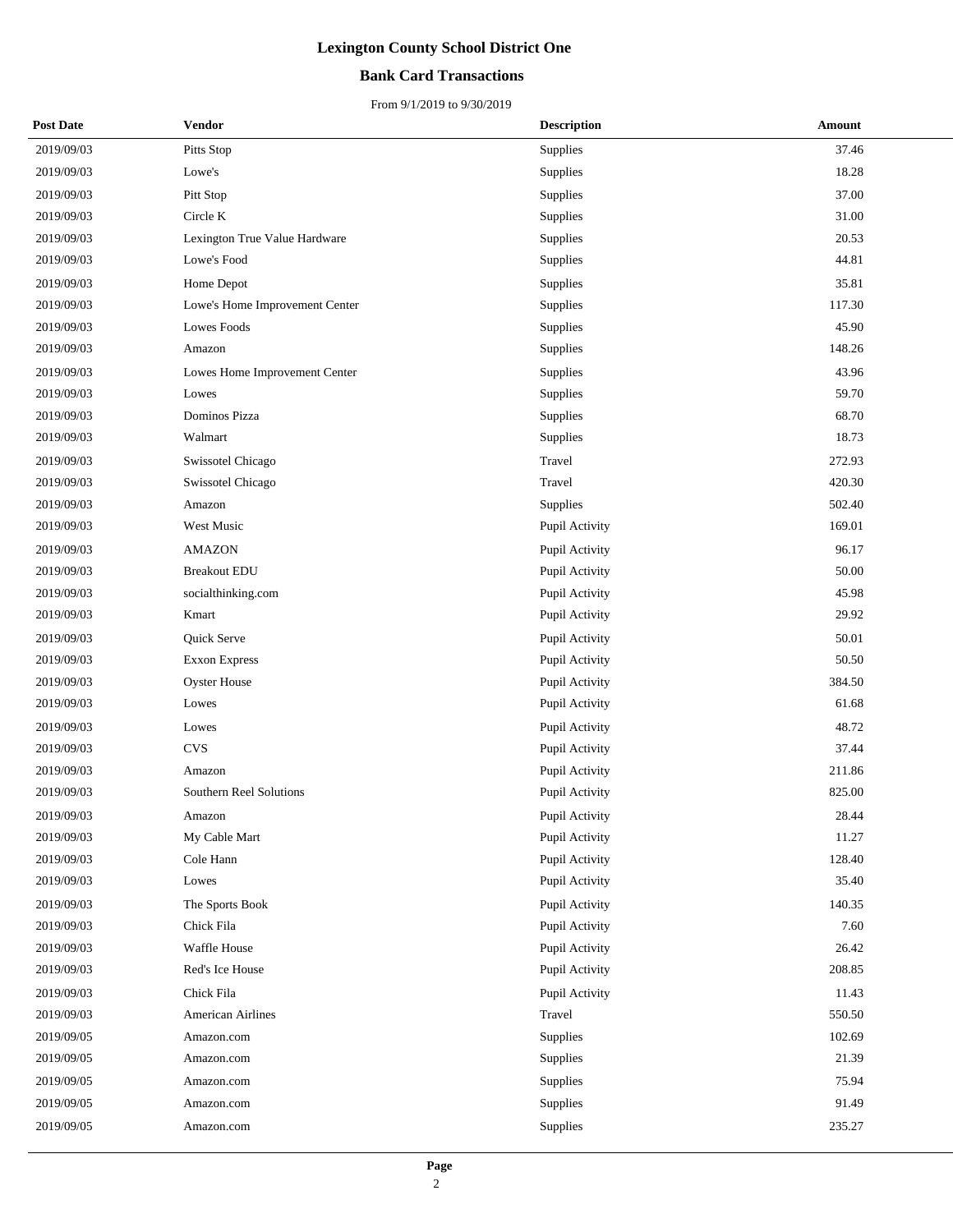## **Bank Card Transactions**

| <b>Post Date</b> | Vendor                         | <b>Description</b> | Amount |
|------------------|--------------------------------|--------------------|--------|
| 2019/09/03       | Pitts Stop                     | Supplies           | 37.46  |
| 2019/09/03       | Lowe's                         | Supplies           | 18.28  |
| 2019/09/03       | Pitt Stop                      | Supplies           | 37.00  |
| 2019/09/03       | Circle K                       | Supplies           | 31.00  |
| 2019/09/03       | Lexington True Value Hardware  | Supplies           | 20.53  |
| 2019/09/03       | Lowe's Food                    | Supplies           | 44.81  |
| 2019/09/03       | Home Depot                     | Supplies           | 35.81  |
| 2019/09/03       | Lowe's Home Improvement Center | Supplies           | 117.30 |
| 2019/09/03       | Lowes Foods                    | Supplies           | 45.90  |
| 2019/09/03       | Amazon                         | Supplies           | 148.26 |
| 2019/09/03       | Lowes Home Improvement Center  | Supplies           | 43.96  |
| 2019/09/03       | Lowes                          | Supplies           | 59.70  |
| 2019/09/03       | Dominos Pizza                  | Supplies           | 68.70  |
| 2019/09/03       | Walmart                        | Supplies           | 18.73  |
| 2019/09/03       | Swissotel Chicago              | Travel             | 272.93 |
| 2019/09/03       | Swissotel Chicago              | Travel             | 420.30 |
| 2019/09/03       | Amazon                         | Supplies           | 502.40 |
| 2019/09/03       | West Music                     | Pupil Activity     | 169.01 |
| 2019/09/03       | <b>AMAZON</b>                  | Pupil Activity     | 96.17  |
| 2019/09/03       | <b>Breakout EDU</b>            | Pupil Activity     | 50.00  |
| 2019/09/03       | socialthinking.com             | Pupil Activity     | 45.98  |
| 2019/09/03       | Kmart                          | Pupil Activity     | 29.92  |
| 2019/09/03       | Quick Serve                    | Pupil Activity     | 50.01  |
| 2019/09/03       | <b>Exxon Express</b>           | Pupil Activity     | 50.50  |
| 2019/09/03       | <b>Oyster House</b>            | Pupil Activity     | 384.50 |
| 2019/09/03       | Lowes                          | Pupil Activity     | 61.68  |
| 2019/09/03       | Lowes                          | Pupil Activity     | 48.72  |
| 2019/09/03       | <b>CVS</b>                     | Pupil Activity     | 37.44  |
| 2019/09/03       | Amazon                         | Pupil Activity     | 211.86 |
| 2019/09/03       | Southern Reel Solutions        | Pupil Activity     | 825.00 |
| 2019/09/03       | Amazon                         | Pupil Activity     | 28.44  |
| 2019/09/03       | My Cable Mart                  | Pupil Activity     | 11.27  |
| 2019/09/03       | Cole Hann                      | Pupil Activity     | 128.40 |
| 2019/09/03       | Lowes                          | Pupil Activity     | 35.40  |
| 2019/09/03       | The Sports Book                | Pupil Activity     | 140.35 |
| 2019/09/03       | Chick Fila                     | Pupil Activity     | 7.60   |
| 2019/09/03       | Waffle House                   | Pupil Activity     | 26.42  |
| 2019/09/03       | Red's Ice House                | Pupil Activity     | 208.85 |
| 2019/09/03       | Chick Fila                     | Pupil Activity     | 11.43  |
| 2019/09/03       | <b>American Airlines</b>       | Travel             | 550.50 |
| 2019/09/05       | Amazon.com                     | Supplies           | 102.69 |
| 2019/09/05       | Amazon.com                     | Supplies           | 21.39  |
| 2019/09/05       | Amazon.com                     | Supplies           | 75.94  |
| 2019/09/05       | Amazon.com                     | Supplies           | 91.49  |
| 2019/09/05       | Amazon.com                     | Supplies           | 235.27 |
|                  |                                |                    |        |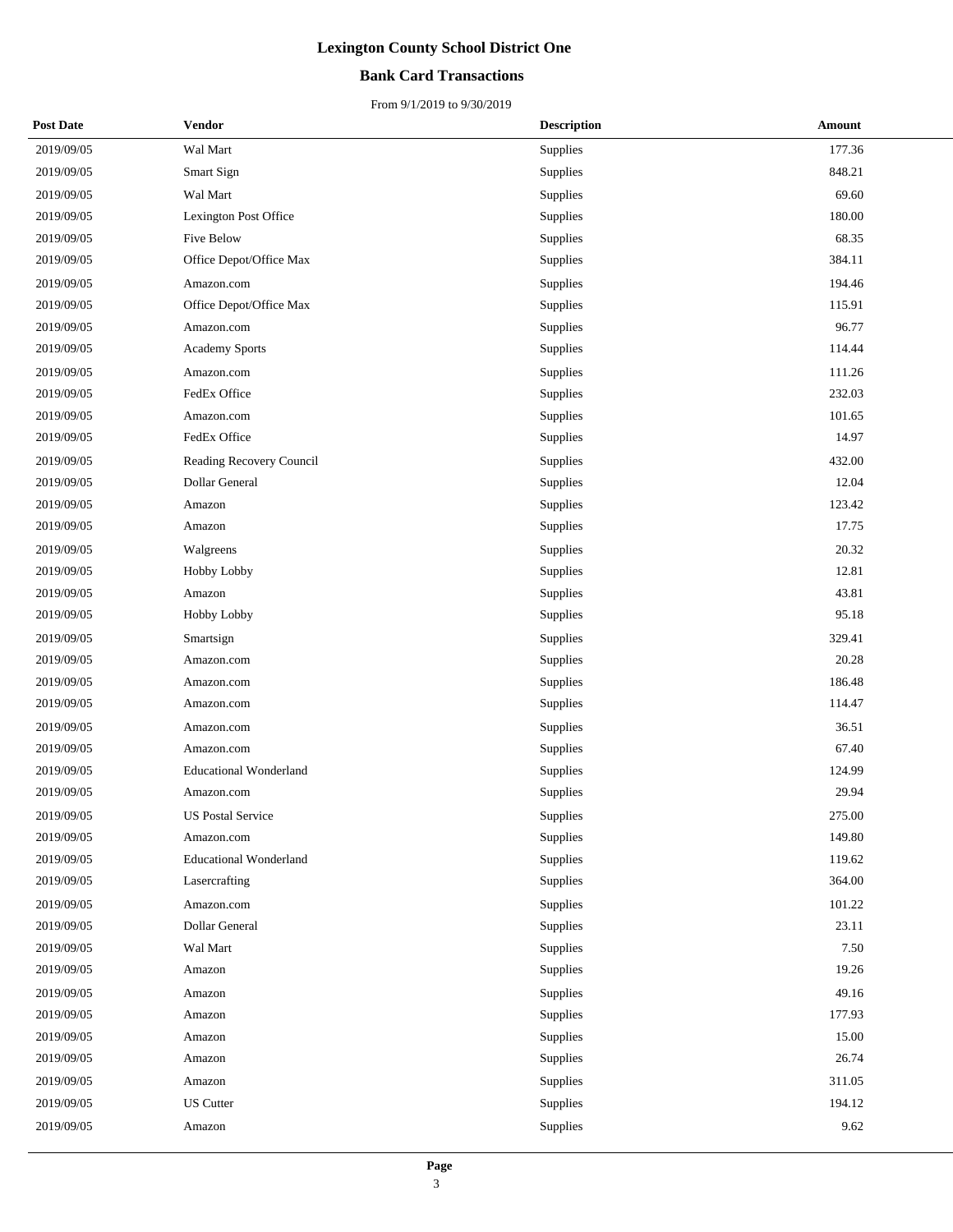## **Bank Card Transactions**

| <b>Post Date</b> | Vendor                        | <b>Description</b> | <b>Amount</b> |
|------------------|-------------------------------|--------------------|---------------|
| 2019/09/05       | Wal Mart                      | Supplies           | 177.36        |
| 2019/09/05       | Smart Sign                    | Supplies           | 848.21        |
| 2019/09/05       | Wal Mart                      | Supplies           | 69.60         |
| 2019/09/05       | Lexington Post Office         | Supplies           | 180.00        |
| 2019/09/05       | Five Below                    | Supplies           | 68.35         |
| 2019/09/05       | Office Depot/Office Max       | Supplies           | 384.11        |
| 2019/09/05       | Amazon.com                    | Supplies           | 194.46        |
| 2019/09/05       | Office Depot/Office Max       | Supplies           | 115.91        |
| 2019/09/05       | Amazon.com                    | Supplies           | 96.77         |
| 2019/09/05       | Academy Sports                | Supplies           | 114.44        |
| 2019/09/05       | Amazon.com                    | Supplies           | 111.26        |
| 2019/09/05       | FedEx Office                  | Supplies           | 232.03        |
| 2019/09/05       | Amazon.com                    | Supplies           | 101.65        |
| 2019/09/05       | FedEx Office                  | Supplies           | 14.97         |
| 2019/09/05       | Reading Recovery Council      | Supplies           | 432.00        |
| 2019/09/05       | Dollar General                | Supplies           | 12.04         |
| 2019/09/05       | Amazon                        | Supplies           | 123.42        |
| 2019/09/05       | Amazon                        | Supplies           | 17.75         |
| 2019/09/05       | Walgreens                     | Supplies           | 20.32         |
| 2019/09/05       | <b>Hobby Lobby</b>            | Supplies           | 12.81         |
| 2019/09/05       | Amazon                        | Supplies           | 43.81         |
| 2019/09/05       | <b>Hobby Lobby</b>            | Supplies           | 95.18         |
| 2019/09/05       | Smartsign                     | Supplies           | 329.41        |
| 2019/09/05       | Amazon.com                    | Supplies           | 20.28         |
| 2019/09/05       | Amazon.com                    | Supplies           | 186.48        |
| 2019/09/05       | Amazon.com                    | Supplies           | 114.47        |
| 2019/09/05       | Amazon.com                    | Supplies           | 36.51         |
| 2019/09/05       | Amazon.com                    | Supplies           | 67.40         |
| 2019/09/05       | <b>Educational Wonderland</b> | Supplies           | 124.99        |
| 2019/09/05       | Amazon.com                    | Supplies           | 29.94         |
| 2019/09/05       | <b>US Postal Service</b>      | Supplies           | 275.00        |
| 2019/09/05       | Amazon.com                    | Supplies           | 149.80        |
| 2019/09/05       | <b>Educational Wonderland</b> | Supplies           | 119.62        |
| 2019/09/05       | Lasercrafting                 | Supplies           | 364.00        |
| 2019/09/05       | Amazon.com                    | Supplies           | 101.22        |
| 2019/09/05       | Dollar General                | Supplies           | 23.11         |
| 2019/09/05       | Wal Mart                      | Supplies           | 7.50          |
| 2019/09/05       | Amazon                        | Supplies           | 19.26         |
| 2019/09/05       | Amazon                        | Supplies           | 49.16         |
| 2019/09/05       | Amazon                        | Supplies           | 177.93        |
| 2019/09/05       | Amazon                        | Supplies           | 15.00         |
| 2019/09/05       | Amazon                        | Supplies           | 26.74         |
| 2019/09/05       | Amazon                        | Supplies           | 311.05        |
| 2019/09/05       | <b>US</b> Cutter              | Supplies           | 194.12        |
| 2019/09/05       | Amazon                        | Supplies           | 9.62          |
|                  |                               |                    |               |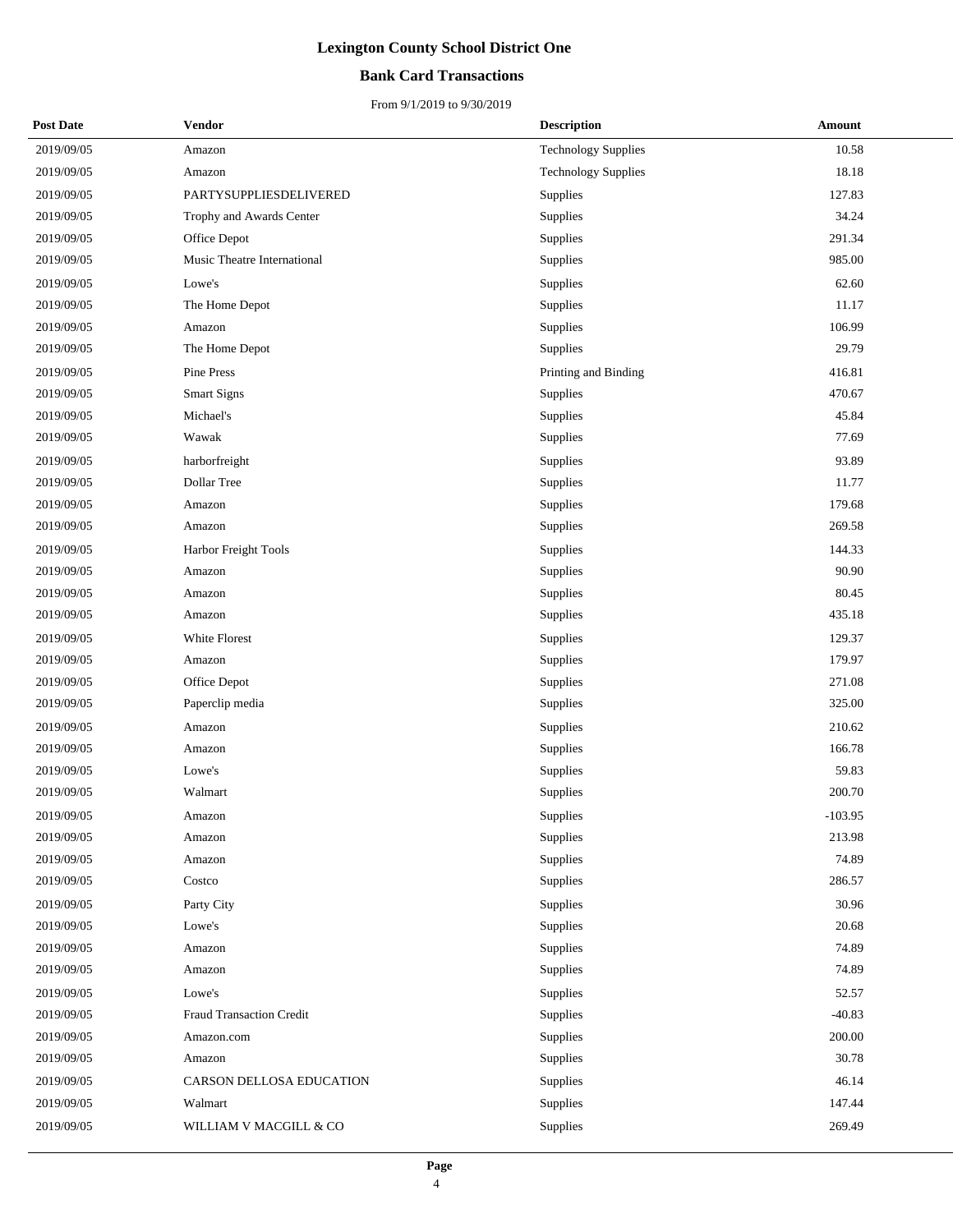## **Bank Card Transactions**

| <b>Post Date</b> | Vendor                      | <b>Description</b>         | Amount    |
|------------------|-----------------------------|----------------------------|-----------|
| 2019/09/05       | Amazon                      | <b>Technology Supplies</b> | 10.58     |
| 2019/09/05       | Amazon                      | <b>Technology Supplies</b> | 18.18     |
| 2019/09/05       | PARTYSUPPLIESDELIVERED      | Supplies                   | 127.83    |
| 2019/09/05       | Trophy and Awards Center    | Supplies                   | 34.24     |
| 2019/09/05       | Office Depot                | Supplies                   | 291.34    |
| 2019/09/05       | Music Theatre International | Supplies                   | 985.00    |
| 2019/09/05       | Lowe's                      | Supplies                   | 62.60     |
| 2019/09/05       | The Home Depot              | Supplies                   | 11.17     |
| 2019/09/05       | Amazon                      | Supplies                   | 106.99    |
| 2019/09/05       | The Home Depot              | Supplies                   | 29.79     |
| 2019/09/05       | Pine Press                  | Printing and Binding       | 416.81    |
| 2019/09/05       | <b>Smart Signs</b>          | Supplies                   | 470.67    |
| 2019/09/05       | Michael's                   | Supplies                   | 45.84     |
| 2019/09/05       | Wawak                       | Supplies                   | 77.69     |
| 2019/09/05       | harborfreight               | Supplies                   | 93.89     |
| 2019/09/05       | Dollar Tree                 | Supplies                   | 11.77     |
| 2019/09/05       | Amazon                      | Supplies                   | 179.68    |
| 2019/09/05       | Amazon                      | Supplies                   | 269.58    |
| 2019/09/05       | Harbor Freight Tools        | Supplies                   | 144.33    |
| 2019/09/05       | Amazon                      | Supplies                   | 90.90     |
| 2019/09/05       | Amazon                      | Supplies                   | 80.45     |
| 2019/09/05       | Amazon                      | Supplies                   | 435.18    |
| 2019/09/05       | White Florest               | Supplies                   | 129.37    |
| 2019/09/05       | Amazon                      | Supplies                   | 179.97    |
| 2019/09/05       | Office Depot                | Supplies                   | 271.08    |
| 2019/09/05       | Paperclip media             | Supplies                   | 325.00    |
| 2019/09/05       | Amazon                      | Supplies                   | 210.62    |
| 2019/09/05       | Amazon                      | Supplies                   | 166.78    |
| 2019/09/05       | Lowe's                      | Supplies                   | 59.83     |
| 2019/09/05       | Walmart                     | Supplies                   | 200.70    |
| 2019/09/05       | Amazon                      | Supplies                   | $-103.95$ |
| 2019/09/05       | Amazon                      | Supplies                   | 213.98    |
| 2019/09/05       | Amazon                      | Supplies                   | 74.89     |
| 2019/09/05       | Costco                      | Supplies                   | 286.57    |
| 2019/09/05       | Party City                  | Supplies                   | 30.96     |
| 2019/09/05       | Lowe's                      | Supplies                   | 20.68     |
| 2019/09/05       | Amazon                      | Supplies                   | 74.89     |
| 2019/09/05       | Amazon                      | Supplies                   | 74.89     |
| 2019/09/05       | Lowe's                      | Supplies                   | 52.57     |
| 2019/09/05       | Fraud Transaction Credit    | Supplies                   | $-40.83$  |
| 2019/09/05       | Amazon.com                  | Supplies                   | 200.00    |
| 2019/09/05       | Amazon                      | Supplies                   | 30.78     |
| 2019/09/05       | CARSON DELLOSA EDUCATION    | Supplies                   | 46.14     |
| 2019/09/05       | Walmart                     | Supplies                   | 147.44    |
| 2019/09/05       | WILLIAM V MACGILL & CO      | Supplies                   | 269.49    |
|                  |                             |                            |           |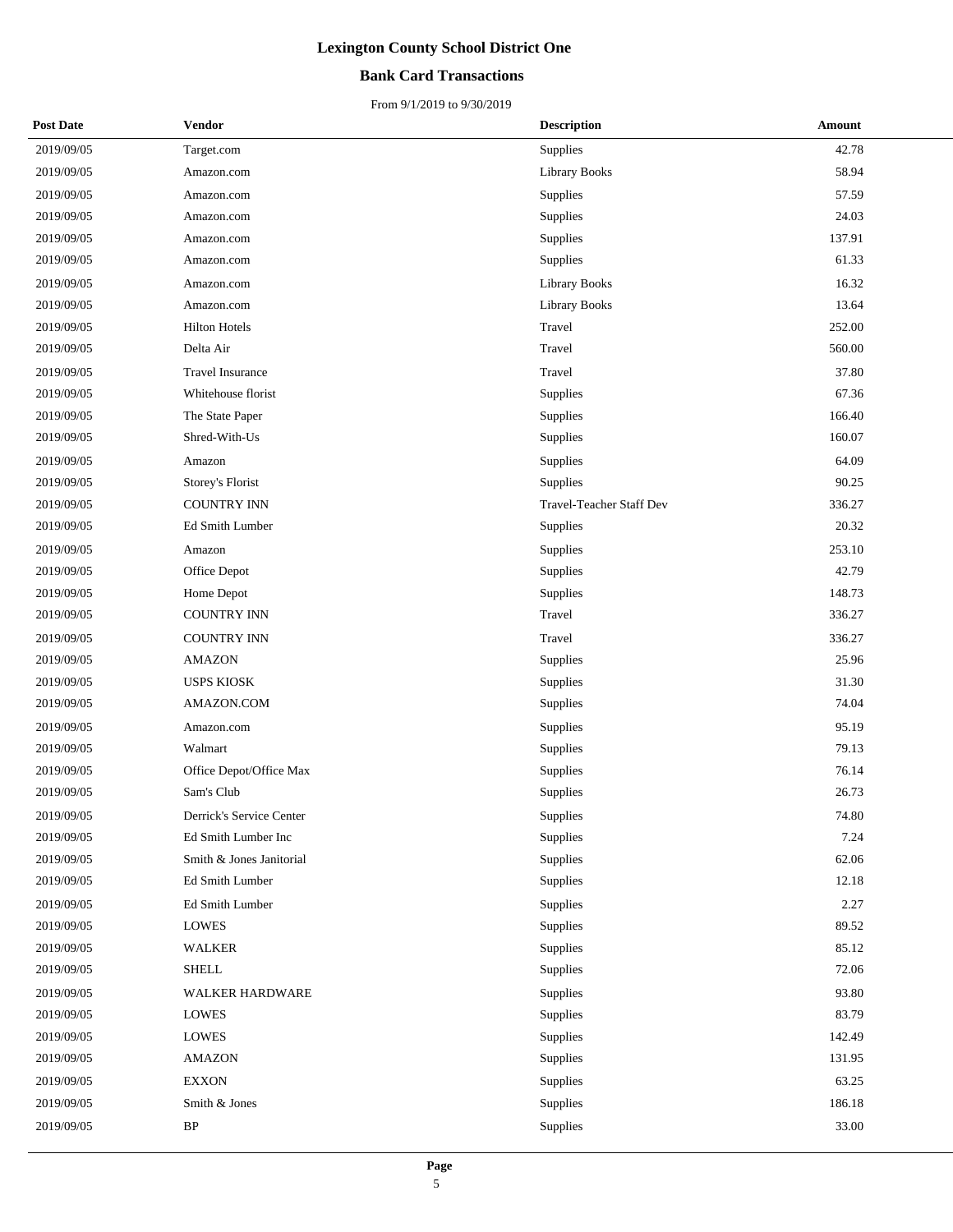### **Bank Card Transactions**

| <b>Post Date</b> | Vendor                   | <b>Description</b>       | Amount |  |
|------------------|--------------------------|--------------------------|--------|--|
| 2019/09/05       | Target.com               | Supplies                 | 42.78  |  |
| 2019/09/05       | Amazon.com               | <b>Library Books</b>     | 58.94  |  |
| 2019/09/05       | Amazon.com               | Supplies                 | 57.59  |  |
| 2019/09/05       | Amazon.com               | Supplies                 | 24.03  |  |
| 2019/09/05       | Amazon.com               | Supplies                 | 137.91 |  |
| 2019/09/05       | Amazon.com               | Supplies                 | 61.33  |  |
| 2019/09/05       | Amazon.com               | <b>Library Books</b>     | 16.32  |  |
| 2019/09/05       | Amazon.com               | <b>Library Books</b>     | 13.64  |  |
| 2019/09/05       | <b>Hilton Hotels</b>     | Travel                   | 252.00 |  |
| 2019/09/05       | Delta Air                | Travel                   | 560.00 |  |
| 2019/09/05       | Travel Insurance         | Travel                   | 37.80  |  |
| 2019/09/05       | Whitehouse florist       | Supplies                 | 67.36  |  |
| 2019/09/05       | The State Paper          | Supplies                 | 166.40 |  |
| 2019/09/05       | Shred-With-Us            | Supplies                 | 160.07 |  |
| 2019/09/05       | Amazon                   | Supplies                 | 64.09  |  |
| 2019/09/05       | Storey's Florist         | Supplies                 | 90.25  |  |
| 2019/09/05       | <b>COUNTRY INN</b>       | Travel-Teacher Staff Dev | 336.27 |  |
| 2019/09/05       | Ed Smith Lumber          | Supplies                 | 20.32  |  |
| 2019/09/05       | Amazon                   | Supplies                 | 253.10 |  |
| 2019/09/05       | Office Depot             | Supplies                 | 42.79  |  |
| 2019/09/05       | Home Depot               | Supplies                 | 148.73 |  |
| 2019/09/05       | <b>COUNTRY INN</b>       | Travel                   | 336.27 |  |
| 2019/09/05       | <b>COUNTRY INN</b>       | Travel                   | 336.27 |  |
| 2019/09/05       | <b>AMAZON</b>            | Supplies                 | 25.96  |  |
| 2019/09/05       | <b>USPS KIOSK</b>        | Supplies                 | 31.30  |  |
| 2019/09/05       | AMAZON.COM               | Supplies                 | 74.04  |  |
| 2019/09/05       | Amazon.com               | Supplies                 | 95.19  |  |
| 2019/09/05       | Walmart                  | <b>Supplies</b>          | 79.13  |  |
| 2019/09/05       | Office Depot/Office Max  | Supplies                 | 76.14  |  |
| 2019/09/05       | Sam's Club               | Supplies                 | 26.73  |  |
| 2019/09/05       | Derrick's Service Center | Supplies                 | 74.80  |  |
| 2019/09/05       | Ed Smith Lumber Inc      | Supplies                 | 7.24   |  |
| 2019/09/05       | Smith & Jones Janitorial | Supplies                 | 62.06  |  |
| 2019/09/05       | Ed Smith Lumber          | Supplies                 | 12.18  |  |
| 2019/09/05       | Ed Smith Lumber          | Supplies                 | 2.27   |  |
| 2019/09/05       | <b>LOWES</b>             | Supplies                 | 89.52  |  |
| 2019/09/05       | <b>WALKER</b>            | Supplies                 | 85.12  |  |
| 2019/09/05       | <b>SHELL</b>             | Supplies                 | 72.06  |  |
| 2019/09/05       | WALKER HARDWARE          | Supplies                 | 93.80  |  |
| 2019/09/05       | <b>LOWES</b>             | Supplies                 | 83.79  |  |
| 2019/09/05       | LOWES                    | Supplies                 | 142.49 |  |
| 2019/09/05       | <b>AMAZON</b>            | Supplies                 | 131.95 |  |
| 2019/09/05       | <b>EXXON</b>             | Supplies                 | 63.25  |  |
| 2019/09/05       | Smith & Jones            | Supplies                 | 186.18 |  |
| 2019/09/05       | $\rm BP$                 | Supplies                 | 33.00  |  |
|                  |                          |                          |        |  |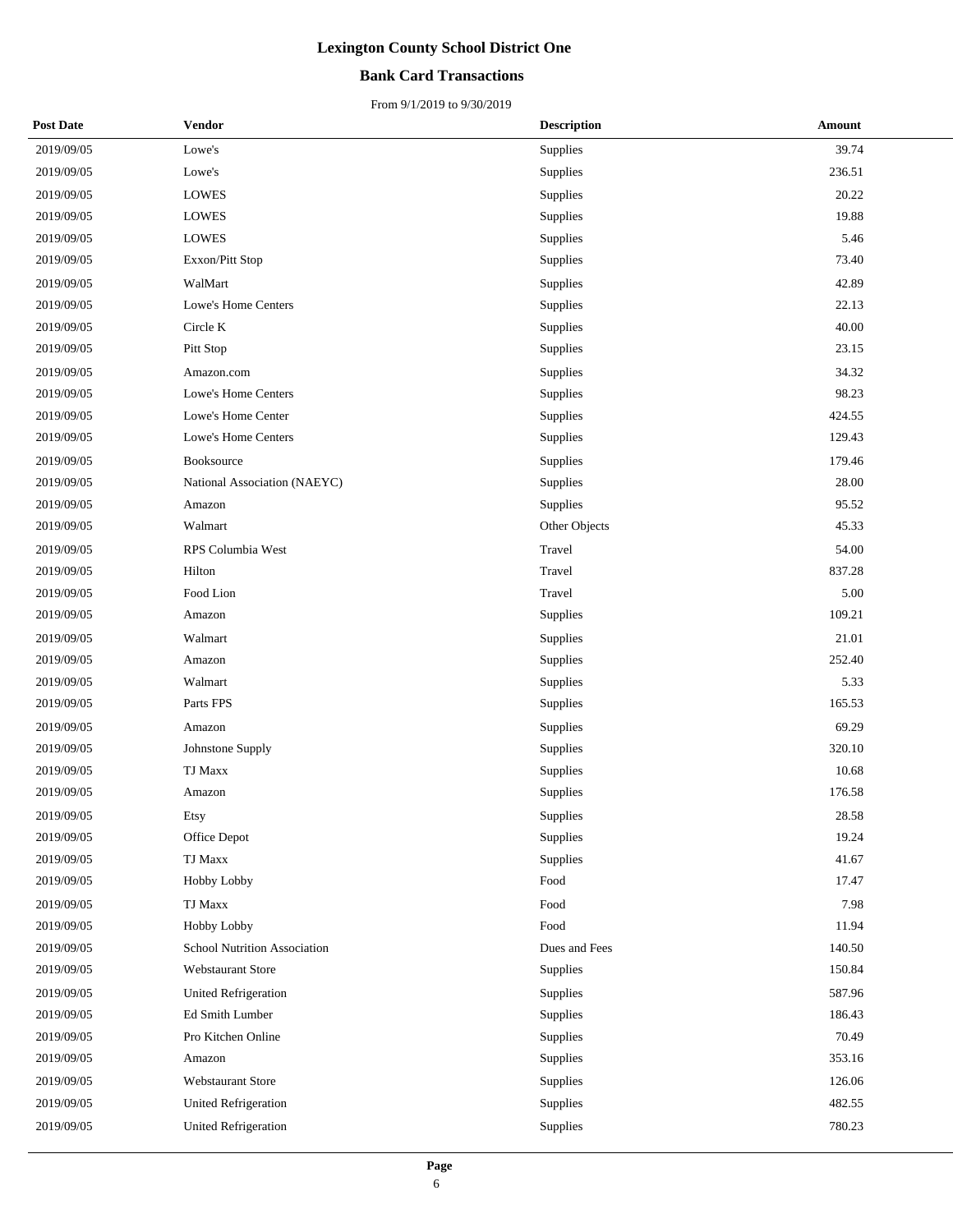### **Bank Card Transactions**

| <b>Post Date</b> | <b>Vendor</b>                | <b>Description</b> | Amount |
|------------------|------------------------------|--------------------|--------|
| 2019/09/05       | Lowe's                       | Supplies           | 39.74  |
| 2019/09/05       | Lowe's                       | Supplies           | 236.51 |
| 2019/09/05       | <b>LOWES</b>                 | Supplies           | 20.22  |
| 2019/09/05       | <b>LOWES</b>                 | Supplies           | 19.88  |
| 2019/09/05       | <b>LOWES</b>                 | Supplies           | 5.46   |
| 2019/09/05       | Exxon/Pitt Stop              | Supplies           | 73.40  |
| 2019/09/05       | WalMart                      | Supplies           | 42.89  |
| 2019/09/05       | Lowe's Home Centers          | Supplies           | 22.13  |
| 2019/09/05       | Circle K                     | Supplies           | 40.00  |
| 2019/09/05       | Pitt Stop                    | Supplies           | 23.15  |
| 2019/09/05       | Amazon.com                   | Supplies           | 34.32  |
| 2019/09/05       | Lowe's Home Centers          | Supplies           | 98.23  |
| 2019/09/05       | Lowe's Home Center           | Supplies           | 424.55 |
| 2019/09/05       | Lowe's Home Centers          | Supplies           | 129.43 |
| 2019/09/05       | Booksource                   | Supplies           | 179.46 |
| 2019/09/05       | National Association (NAEYC) | Supplies           | 28.00  |
| 2019/09/05       | Amazon                       | Supplies           | 95.52  |
| 2019/09/05       | Walmart                      | Other Objects      | 45.33  |
| 2019/09/05       | RPS Columbia West            | Travel             | 54.00  |
| 2019/09/05       | Hilton                       | Travel             | 837.28 |
| 2019/09/05       | Food Lion                    | Travel             | 5.00   |
| 2019/09/05       | Amazon                       | Supplies           | 109.21 |
| 2019/09/05       | Walmart                      | Supplies           | 21.01  |
| 2019/09/05       | Amazon                       | Supplies           | 252.40 |
| 2019/09/05       | Walmart                      | Supplies           | 5.33   |
| 2019/09/05       | Parts FPS                    | Supplies           | 165.53 |
| 2019/09/05       | Amazon                       | Supplies           | 69.29  |
| 2019/09/05       | Johnstone Supply             | Supplies           | 320.10 |
| 2019/09/05       | <b>TJ Maxx</b>               | Supplies           | 10.68  |
| 2019/09/05       | Amazon                       | Supplies           | 176.58 |
| 2019/09/05       | Etsy                         | Supplies           | 28.58  |
| 2019/09/05       | Office Depot                 | Supplies           | 19.24  |
| 2019/09/05       | <b>TJ Maxx</b>               | Supplies           | 41.67  |
| 2019/09/05       | Hobby Lobby                  | Food               | 17.47  |
| 2019/09/05       | <b>TJ Maxx</b>               | Food               | 7.98   |
| 2019/09/05       | Hobby Lobby                  | Food               | 11.94  |
| 2019/09/05       | School Nutrition Association | Dues and Fees      | 140.50 |
| 2019/09/05       | Webstaurant Store            | Supplies           | 150.84 |
| 2019/09/05       | <b>United Refrigeration</b>  | Supplies           | 587.96 |
| 2019/09/05       | Ed Smith Lumber              | Supplies           | 186.43 |
| 2019/09/05       | Pro Kitchen Online           | Supplies           | 70.49  |
| 2019/09/05       | Amazon                       | Supplies           | 353.16 |
| 2019/09/05       | Webstaurant Store            | Supplies           | 126.06 |
| 2019/09/05       | United Refrigeration         | Supplies           | 482.55 |
| 2019/09/05       | <b>United Refrigeration</b>  | Supplies           | 780.23 |
|                  |                              |                    |        |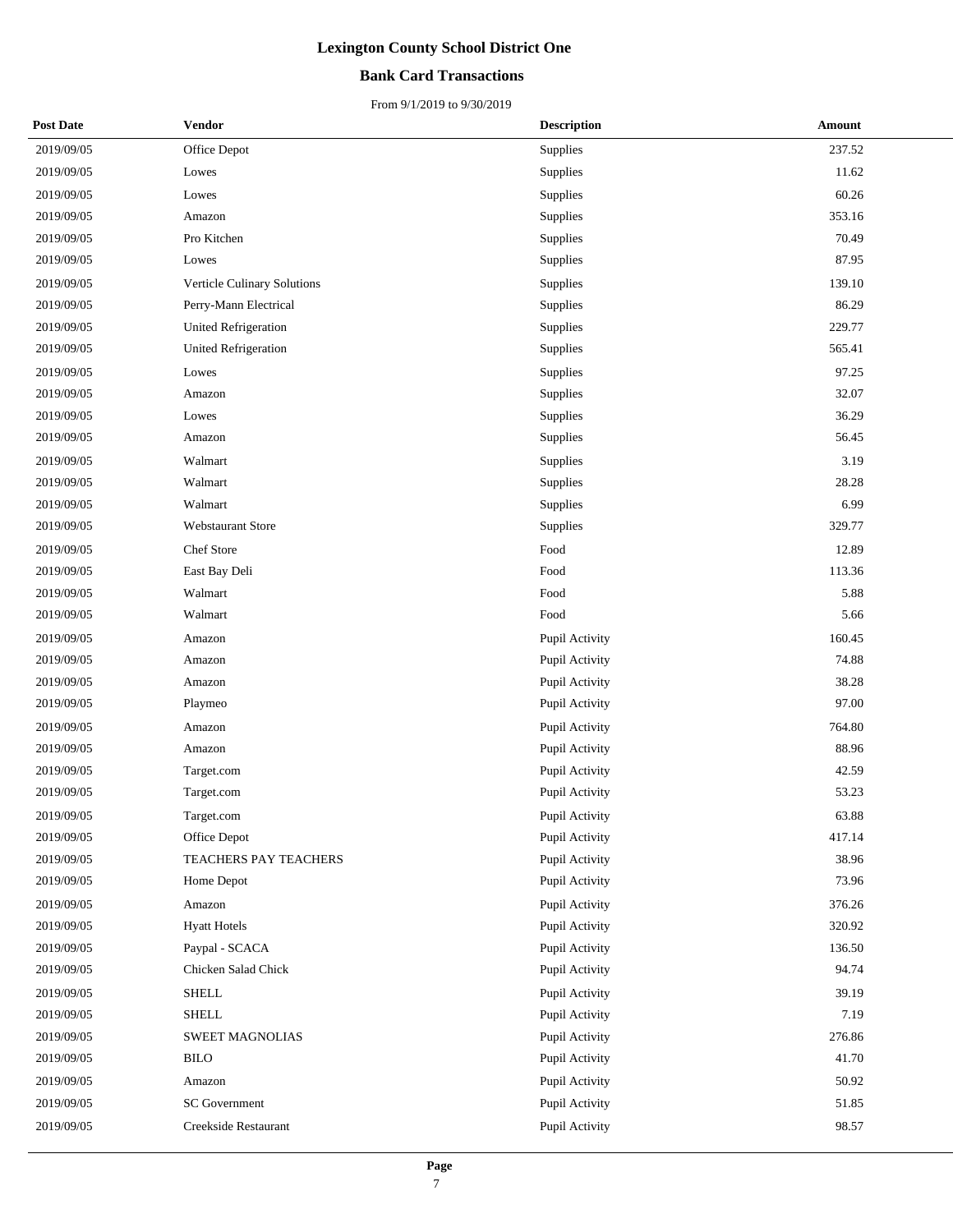### **Bank Card Transactions**

| <b>Post Date</b> | Vendor                      | <b>Description</b> | Amount |
|------------------|-----------------------------|--------------------|--------|
| 2019/09/05       | Office Depot                | Supplies           | 237.52 |
| 2019/09/05       | Lowes                       | Supplies           | 11.62  |
| 2019/09/05       | Lowes                       | Supplies           | 60.26  |
| 2019/09/05       | Amazon                      | Supplies           | 353.16 |
| 2019/09/05       | Pro Kitchen                 | Supplies           | 70.49  |
| 2019/09/05       | Lowes                       | Supplies           | 87.95  |
| 2019/09/05       | Verticle Culinary Solutions | Supplies           | 139.10 |
| 2019/09/05       | Perry-Mann Electrical       | Supplies           | 86.29  |
| 2019/09/05       | United Refrigeration        | Supplies           | 229.77 |
| 2019/09/05       | United Refrigeration        | Supplies           | 565.41 |
| 2019/09/05       | Lowes                       | Supplies           | 97.25  |
| 2019/09/05       | Amazon                      | Supplies           | 32.07  |
| 2019/09/05       | Lowes                       | Supplies           | 36.29  |
| 2019/09/05       | Amazon                      | Supplies           | 56.45  |
| 2019/09/05       | Walmart                     | Supplies           | 3.19   |
| 2019/09/05       | Walmart                     | Supplies           | 28.28  |
| 2019/09/05       | Walmart                     | Supplies           | 6.99   |
| 2019/09/05       | <b>Webstaurant Store</b>    | Supplies           | 329.77 |
| 2019/09/05       | Chef Store                  | Food               | 12.89  |
| 2019/09/05       | East Bay Deli               | Food               | 113.36 |
| 2019/09/05       | Walmart                     | Food               | 5.88   |
| 2019/09/05       | Walmart                     | Food               | 5.66   |
| 2019/09/05       | Amazon                      | Pupil Activity     | 160.45 |
| 2019/09/05       | Amazon                      | Pupil Activity     | 74.88  |
| 2019/09/05       | Amazon                      | Pupil Activity     | 38.28  |
| 2019/09/05       | Playmeo                     | Pupil Activity     | 97.00  |
| 2019/09/05       | Amazon                      | Pupil Activity     | 764.80 |
| 2019/09/05       | Amazon                      | Pupil Activity     | 88.96  |
| 2019/09/05       | Target.com                  | Pupil Activity     | 42.59  |
| 2019/09/05       | Target.com                  | Pupil Activity     | 53.23  |
| 2019/09/05       | Target.com                  | Pupil Activity     | 63.88  |
| 2019/09/05       | Office Depot                | Pupil Activity     | 417.14 |
| 2019/09/05       | TEACHERS PAY TEACHERS       | Pupil Activity     | 38.96  |
| 2019/09/05       | Home Depot                  | Pupil Activity     | 73.96  |
| 2019/09/05       | Amazon                      | Pupil Activity     | 376.26 |
| 2019/09/05       | <b>Hyatt Hotels</b>         | Pupil Activity     | 320.92 |
| 2019/09/05       | Paypal - SCACA              | Pupil Activity     | 136.50 |
| 2019/09/05       | Chicken Salad Chick         | Pupil Activity     | 94.74  |
| 2019/09/05       | <b>SHELL</b>                | Pupil Activity     | 39.19  |
| 2019/09/05       | <b>SHELL</b>                | Pupil Activity     | 7.19   |
| 2019/09/05       | SWEET MAGNOLIAS             | Pupil Activity     | 276.86 |
| 2019/09/05       | <b>BILO</b>                 | Pupil Activity     | 41.70  |
| 2019/09/05       | Amazon                      | Pupil Activity     | 50.92  |
| 2019/09/05       | <b>SC</b> Government        | Pupil Activity     | 51.85  |
| 2019/09/05       | Creekside Restaurant        | Pupil Activity     | 98.57  |
|                  |                             |                    |        |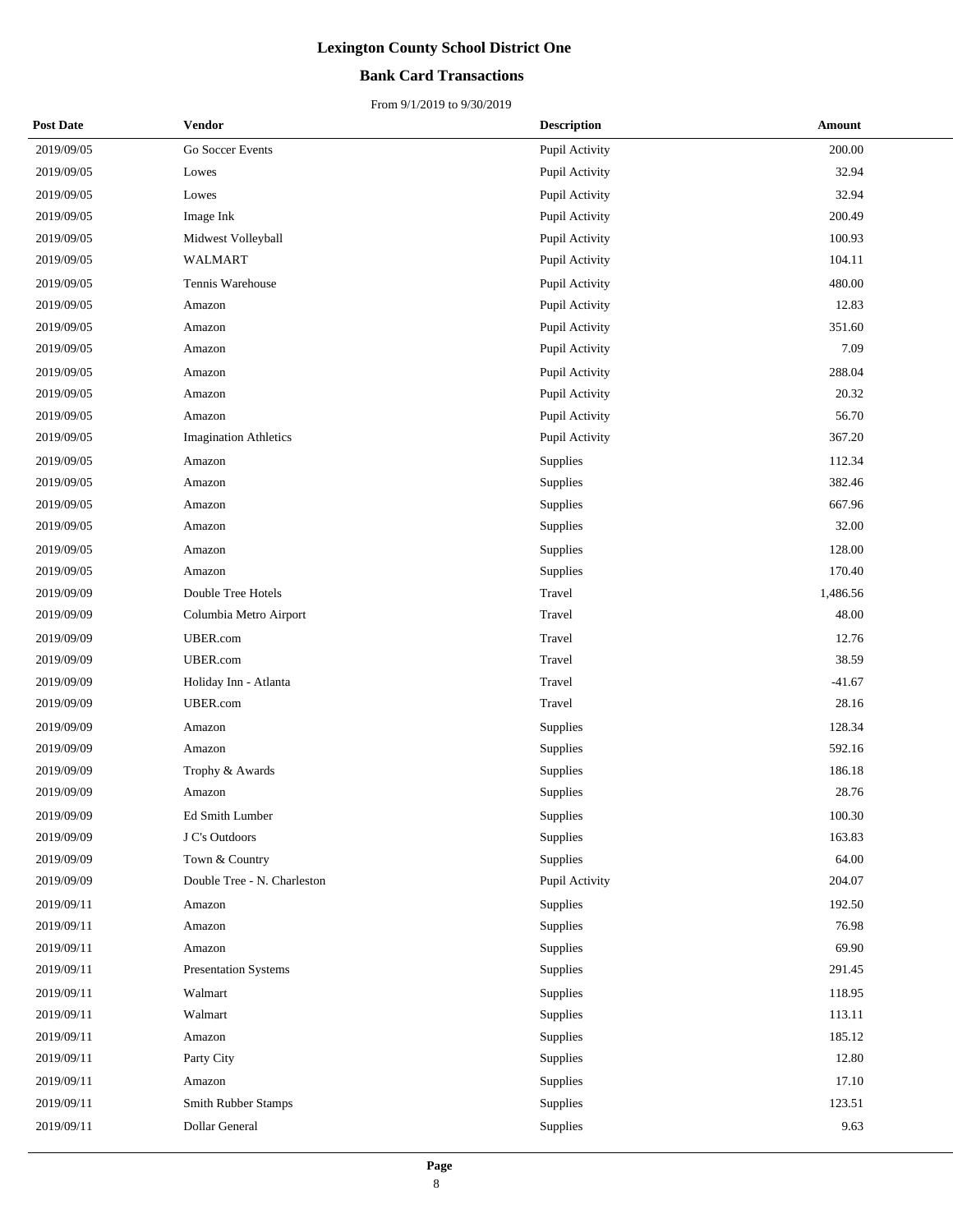### **Bank Card Transactions**

| <b>Post Date</b> | Vendor                       | <b>Description</b> | Amount   |
|------------------|------------------------------|--------------------|----------|
| 2019/09/05       | Go Soccer Events             | Pupil Activity     | 200.00   |
| 2019/09/05       | Lowes                        | Pupil Activity     | 32.94    |
| 2019/09/05       | Lowes                        | Pupil Activity     | 32.94    |
| 2019/09/05       | Image Ink                    | Pupil Activity     | 200.49   |
| 2019/09/05       | Midwest Volleyball           | Pupil Activity     | 100.93   |
| 2019/09/05       | WALMART                      | Pupil Activity     | 104.11   |
| 2019/09/05       | Tennis Warehouse             | Pupil Activity     | 480.00   |
| 2019/09/05       | Amazon                       | Pupil Activity     | 12.83    |
| 2019/09/05       | Amazon                       | Pupil Activity     | 351.60   |
| 2019/09/05       | Amazon                       | Pupil Activity     | 7.09     |
| 2019/09/05       | Amazon                       | Pupil Activity     | 288.04   |
| 2019/09/05       | Amazon                       | Pupil Activity     | 20.32    |
| 2019/09/05       | Amazon                       | Pupil Activity     | 56.70    |
| 2019/09/05       | <b>Imagination Athletics</b> | Pupil Activity     | 367.20   |
| 2019/09/05       | Amazon                       | Supplies           | 112.34   |
| 2019/09/05       | Amazon                       | Supplies           | 382.46   |
| 2019/09/05       | Amazon                       | Supplies           | 667.96   |
| 2019/09/05       | Amazon                       | Supplies           | 32.00    |
| 2019/09/05       | Amazon                       | Supplies           | 128.00   |
| 2019/09/05       | Amazon                       | Supplies           | 170.40   |
| 2019/09/09       | Double Tree Hotels           | Travel             | 1,486.56 |
| 2019/09/09       | Columbia Metro Airport       | Travel             | 48.00    |
| 2019/09/09       | UBER.com                     | Travel             | 12.76    |
| 2019/09/09       | UBER.com                     | Travel             | 38.59    |
| 2019/09/09       | Holiday Inn - Atlanta        | Travel             | $-41.67$ |
| 2019/09/09       | UBER.com                     | Travel             | 28.16    |
| 2019/09/09       | Amazon                       | Supplies           | 128.34   |
| 2019/09/09       | Amazon                       | Supplies           | 592.16   |
| 2019/09/09       | Trophy & Awards              | Supplies           | 186.18   |
| 2019/09/09       | Amazon                       | Supplies           | 28.76    |
| 2019/09/09       | <b>Ed Smith Lumber</b>       | Supplies           | 100.30   |
| 2019/09/09       | J C's Outdoors               | Supplies           | 163.83   |
| 2019/09/09       | Town & Country               | Supplies           | 64.00    |
| 2019/09/09       | Double Tree - N. Charleston  | Pupil Activity     | 204.07   |
| 2019/09/11       | Amazon                       | Supplies           | 192.50   |
| 2019/09/11       | Amazon                       | Supplies           | 76.98    |
| 2019/09/11       | Amazon                       | Supplies           | 69.90    |
| 2019/09/11       | <b>Presentation Systems</b>  | Supplies           | 291.45   |
| 2019/09/11       | Walmart                      | Supplies           | 118.95   |
| 2019/09/11       | Walmart                      | Supplies           | 113.11   |
| 2019/09/11       | Amazon                       | Supplies           | 185.12   |
| 2019/09/11       | Party City                   | Supplies           | 12.80    |
| 2019/09/11       | Amazon                       | Supplies           | 17.10    |
| 2019/09/11       | Smith Rubber Stamps          | Supplies           | 123.51   |
| 2019/09/11       | Dollar General               | Supplies           | 9.63     |
|                  |                              |                    |          |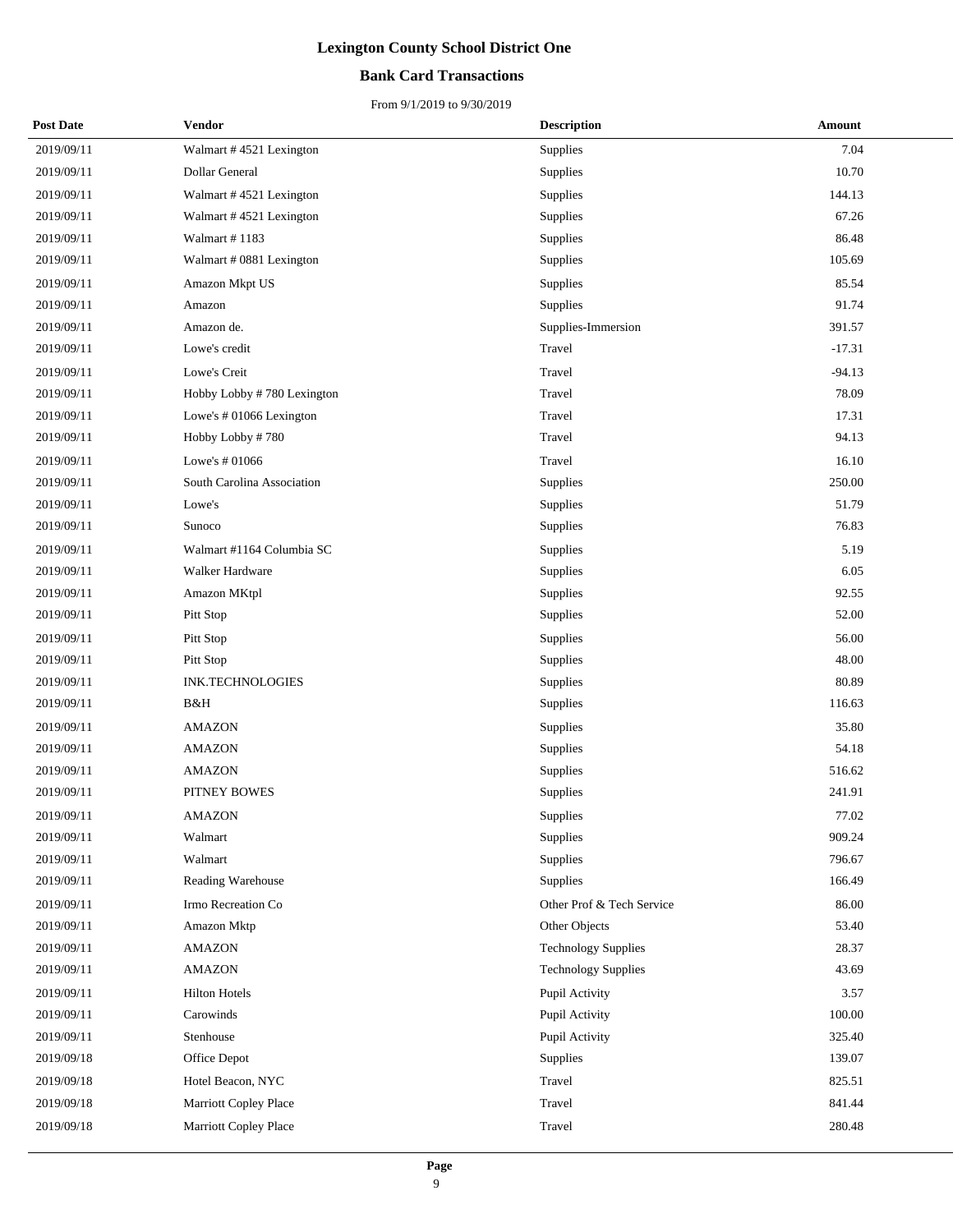## **Bank Card Transactions**

| <b>Post Date</b> | Vendor                     | <b>Description</b>         | Amount   |
|------------------|----------------------------|----------------------------|----------|
| 2019/09/11       | Walmart #4521 Lexington    | Supplies                   | 7.04     |
| 2019/09/11       | Dollar General             | Supplies                   | 10.70    |
| 2019/09/11       | Walmart #4521 Lexington    | Supplies                   | 144.13   |
| 2019/09/11       | Walmart #4521 Lexington    | Supplies                   | 67.26    |
| 2019/09/11       | Walmart #1183              | Supplies                   | 86.48    |
| 2019/09/11       | Walmart # 0881 Lexington   | Supplies                   | 105.69   |
| 2019/09/11       | Amazon Mkpt US             | Supplies                   | 85.54    |
| 2019/09/11       | Amazon                     | Supplies                   | 91.74    |
| 2019/09/11       | Amazon de.                 | Supplies-Immersion         | 391.57   |
| 2019/09/11       | Lowe's credit              | Travel                     | $-17.31$ |
| 2019/09/11       | Lowe's Creit               | Travel                     | $-94.13$ |
| 2019/09/11       | Hobby Lobby #780 Lexington | Travel                     | 78.09    |
| 2019/09/11       | Lowe's #01066 Lexington    | Travel                     | 17.31    |
| 2019/09/11       | Hobby Lobby #780           | Travel                     | 94.13    |
| 2019/09/11       | Lowe's # 01066             | Travel                     | 16.10    |
| 2019/09/11       | South Carolina Association | Supplies                   | 250.00   |
| 2019/09/11       | Lowe's                     | Supplies                   | 51.79    |
| 2019/09/11       | Sunoco                     | Supplies                   | 76.83    |
| 2019/09/11       | Walmart #1164 Columbia SC  | Supplies                   | 5.19     |
| 2019/09/11       | Walker Hardware            | <b>Supplies</b>            | 6.05     |
| 2019/09/11       | Amazon MKtpl               | Supplies                   | 92.55    |
| 2019/09/11       | Pitt Stop                  | Supplies                   | 52.00    |
| 2019/09/11       | Pitt Stop                  | Supplies                   | 56.00    |
| 2019/09/11       | Pitt Stop                  | Supplies                   | 48.00    |
| 2019/09/11       | <b>INK.TECHNOLOGIES</b>    | Supplies                   | 80.89    |
| 2019/09/11       | B&H                        | Supplies                   | 116.63   |
| 2019/09/11       | <b>AMAZON</b>              | Supplies                   | 35.80    |
| 2019/09/11       | <b>AMAZON</b>              | Supplies                   | 54.18    |
| 2019/09/11       | <b>AMAZON</b>              | Supplies                   | 516.62   |
| 2019/09/11       | PITNEY BOWES               | Supplies                   | 241.91   |
| 2019/09/11       | <b>AMAZON</b>              | Supplies                   | 77.02    |
| 2019/09/11       | Walmart                    | Supplies                   | 909.24   |
| 2019/09/11       | Walmart                    | <b>Supplies</b>            | 796.67   |
| 2019/09/11       | Reading Warehouse          | Supplies                   | 166.49   |
| 2019/09/11       | Irmo Recreation Co         | Other Prof & Tech Service  | 86.00    |
| 2019/09/11       | Amazon Mktp                | Other Objects              | 53.40    |
| 2019/09/11       | <b>AMAZON</b>              | <b>Technology Supplies</b> | 28.37    |
| 2019/09/11       | <b>AMAZON</b>              | <b>Technology Supplies</b> | 43.69    |
| 2019/09/11       | <b>Hilton Hotels</b>       | Pupil Activity             | 3.57     |
| 2019/09/11       | Carowinds                  | Pupil Activity             | 100.00   |
| 2019/09/11       | Stenhouse                  | Pupil Activity             | 325.40   |
| 2019/09/18       | Office Depot               | Supplies                   | 139.07   |
| 2019/09/18       | Hotel Beacon, NYC          | Travel                     | 825.51   |
| 2019/09/18       | Marriott Copley Place      | Travel                     | 841.44   |
| 2019/09/18       | Marriott Copley Place      | Travel                     | 280.48   |
|                  |                            |                            |          |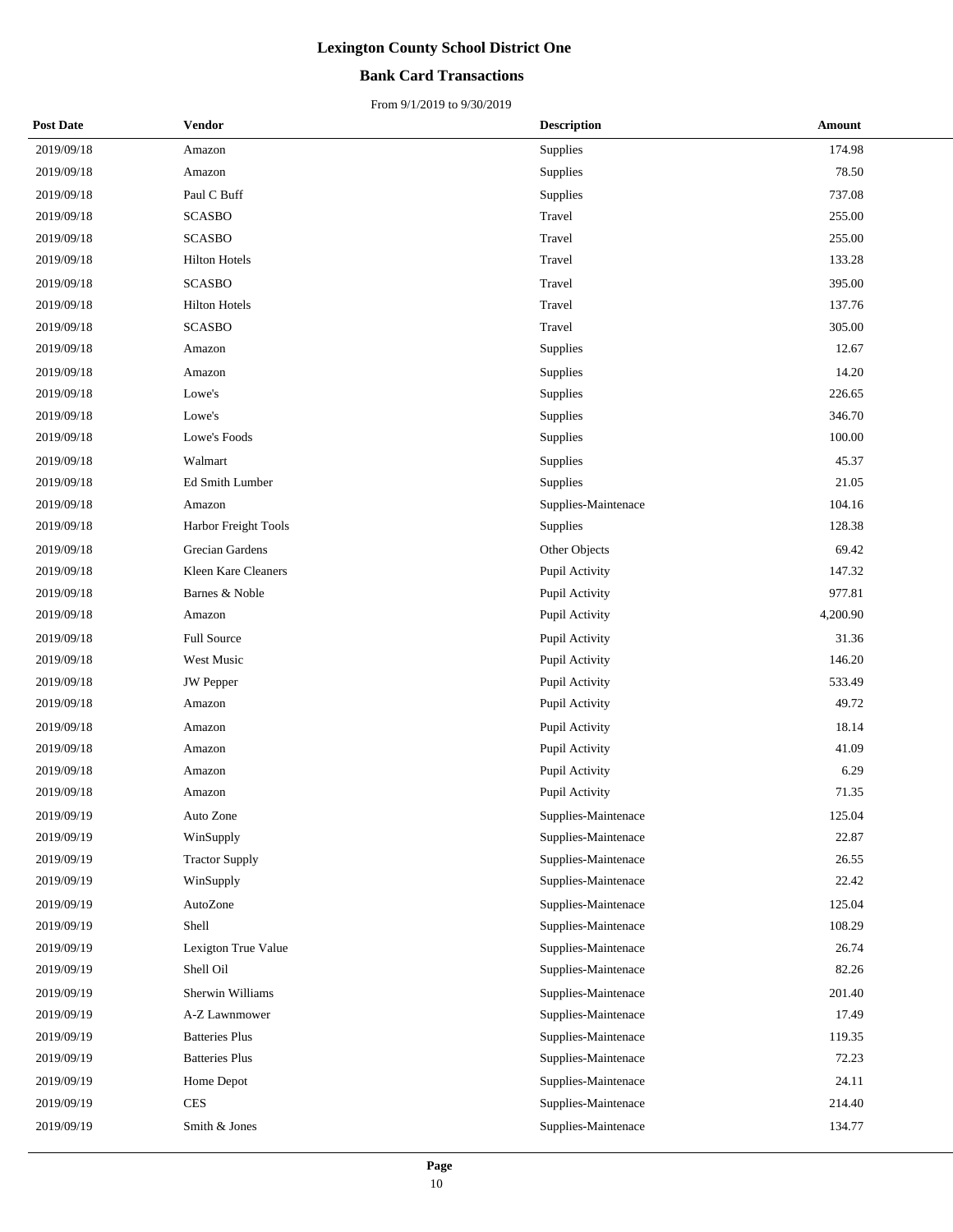### **Bank Card Transactions**

| <b>Post Date</b> | Vendor                | <b>Description</b>  | Amount   |
|------------------|-----------------------|---------------------|----------|
| 2019/09/18       | Amazon                | Supplies            | 174.98   |
| 2019/09/18       | Amazon                | Supplies            | 78.50    |
| 2019/09/18       | Paul C Buff           | Supplies            | 737.08   |
| 2019/09/18       | <b>SCASBO</b>         | Travel              | 255.00   |
| 2019/09/18       | <b>SCASBO</b>         | Travel              | 255.00   |
| 2019/09/18       | <b>Hilton Hotels</b>  | Travel              | 133.28   |
| 2019/09/18       | <b>SCASBO</b>         | Travel              | 395.00   |
| 2019/09/18       | <b>Hilton Hotels</b>  | Travel              | 137.76   |
| 2019/09/18       | <b>SCASBO</b>         | Travel              | 305.00   |
| 2019/09/18       | Amazon                | Supplies            | 12.67    |
| 2019/09/18       | Amazon                | Supplies            | 14.20    |
| 2019/09/18       | Lowe's                | Supplies            | 226.65   |
| 2019/09/18       | Lowe's                | Supplies            | 346.70   |
| 2019/09/18       | Lowe's Foods          | Supplies            | 100.00   |
| 2019/09/18       | Walmart               | Supplies            | 45.37    |
| 2019/09/18       | Ed Smith Lumber       | Supplies            | 21.05    |
| 2019/09/18       | Amazon                | Supplies-Maintenace | 104.16   |
| 2019/09/18       | Harbor Freight Tools  | Supplies            | 128.38   |
| 2019/09/18       | Grecian Gardens       | Other Objects       | 69.42    |
| 2019/09/18       | Kleen Kare Cleaners   | Pupil Activity      | 147.32   |
| 2019/09/18       | Barnes & Noble        | Pupil Activity      | 977.81   |
| 2019/09/18       | Amazon                | Pupil Activity      | 4,200.90 |
| 2019/09/18       | <b>Full Source</b>    | Pupil Activity      | 31.36    |
| 2019/09/18       | West Music            | Pupil Activity      | 146.20   |
| 2019/09/18       | <b>JW</b> Pepper      | Pupil Activity      | 533.49   |
| 2019/09/18       | Amazon                | Pupil Activity      | 49.72    |
| 2019/09/18       | Amazon                | Pupil Activity      | 18.14    |
| 2019/09/18       | Amazon                | Pupil Activity      | 41.09    |
| 2019/09/18       | Amazon                | Pupil Activity      | 6.29     |
| 2019/09/18       | Amazon                | Pupil Activity      | 71.35    |
| 2019/09/19       | Auto Zone             | Supplies-Maintenace | 125.04   |
| 2019/09/19       | WinSupply             | Supplies-Maintenace | 22.87    |
| 2019/09/19       | <b>Tractor Supply</b> | Supplies-Maintenace | 26.55    |
| 2019/09/19       | WinSupply             | Supplies-Maintenace | 22.42    |
| 2019/09/19       | AutoZone              | Supplies-Maintenace | 125.04   |
| 2019/09/19       | Shell                 | Supplies-Maintenace | 108.29   |
| 2019/09/19       | Lexigton True Value   | Supplies-Maintenace | 26.74    |
| 2019/09/19       | Shell Oil             | Supplies-Maintenace | 82.26    |
| 2019/09/19       | Sherwin Williams      | Supplies-Maintenace | 201.40   |
| 2019/09/19       | A-Z Lawnmower         | Supplies-Maintenace | 17.49    |
| 2019/09/19       | <b>Batteries Plus</b> | Supplies-Maintenace | 119.35   |
| 2019/09/19       | <b>Batteries Plus</b> | Supplies-Maintenace | 72.23    |
| 2019/09/19       | Home Depot            | Supplies-Maintenace | 24.11    |
| 2019/09/19       | <b>CES</b>            | Supplies-Maintenace | 214.40   |
| 2019/09/19       | Smith & Jones         | Supplies-Maintenace | 134.77   |
|                  |                       |                     |          |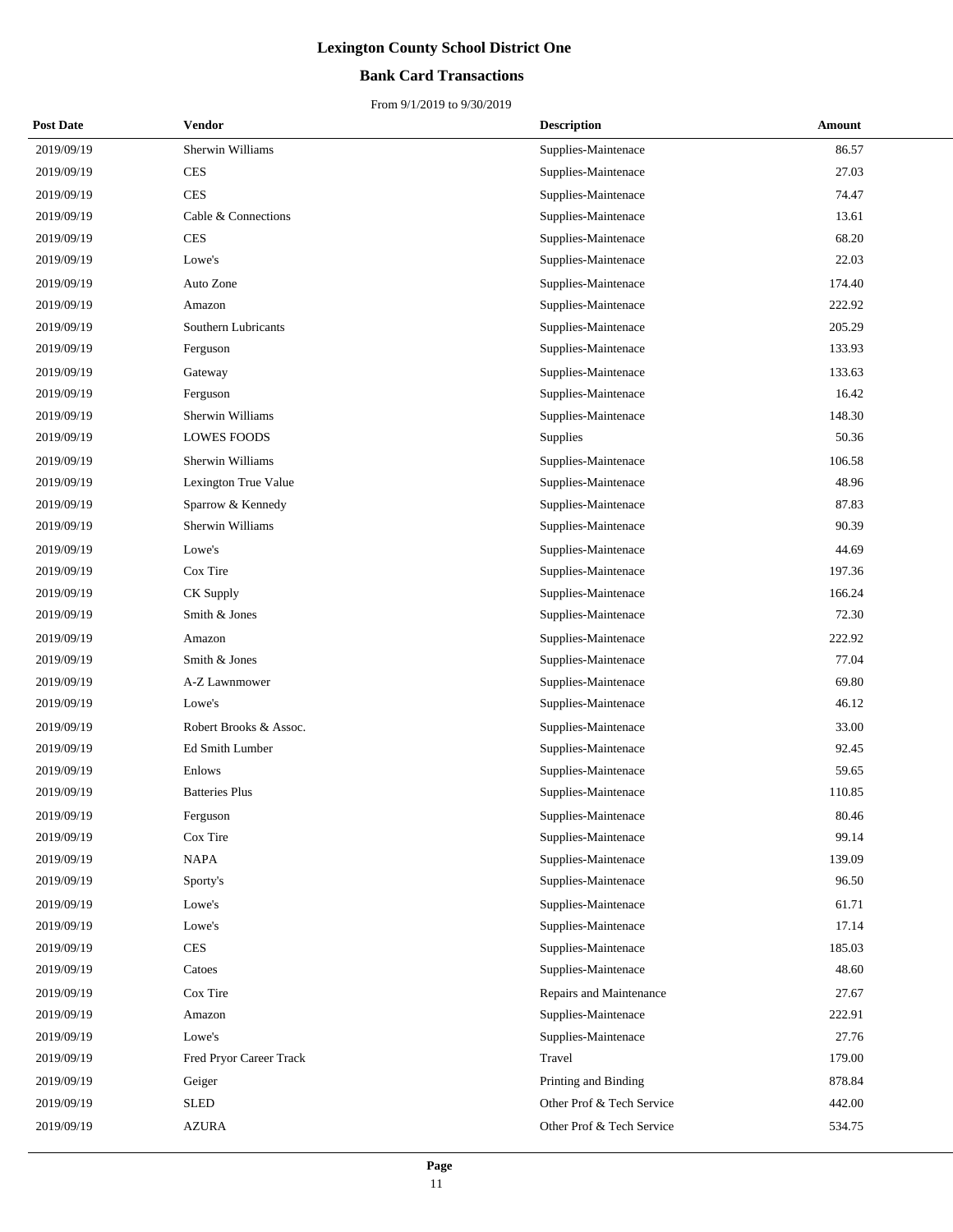### **Bank Card Transactions**

| <b>Post Date</b> | Vendor                  | <b>Description</b>        | Amount |
|------------------|-------------------------|---------------------------|--------|
| 2019/09/19       | Sherwin Williams        | Supplies-Maintenace       | 86.57  |
| 2019/09/19       | <b>CES</b>              | Supplies-Maintenace       | 27.03  |
| 2019/09/19       | <b>CES</b>              | Supplies-Maintenace       | 74.47  |
| 2019/09/19       | Cable & Connections     | Supplies-Maintenace       | 13.61  |
| 2019/09/19       | <b>CES</b>              | Supplies-Maintenace       | 68.20  |
| 2019/09/19       | Lowe's                  | Supplies-Maintenace       | 22.03  |
| 2019/09/19       | Auto Zone               | Supplies-Maintenace       | 174.40 |
| 2019/09/19       | Amazon                  | Supplies-Maintenace       | 222.92 |
| 2019/09/19       | Southern Lubricants     | Supplies-Maintenace       | 205.29 |
| 2019/09/19       | Ferguson                | Supplies-Maintenace       | 133.93 |
| 2019/09/19       | Gateway                 | Supplies-Maintenace       | 133.63 |
| 2019/09/19       | Ferguson                | Supplies-Maintenace       | 16.42  |
| 2019/09/19       | Sherwin Williams        | Supplies-Maintenace       | 148.30 |
| 2019/09/19       | <b>LOWES FOODS</b>      | <b>Supplies</b>           | 50.36  |
| 2019/09/19       | Sherwin Williams        | Supplies-Maintenace       | 106.58 |
| 2019/09/19       | Lexington True Value    | Supplies-Maintenace       | 48.96  |
| 2019/09/19       | Sparrow & Kennedy       | Supplies-Maintenace       | 87.83  |
| 2019/09/19       | Sherwin Williams        | Supplies-Maintenace       | 90.39  |
| 2019/09/19       | Lowe's                  | Supplies-Maintenace       | 44.69  |
| 2019/09/19       | Cox Tire                | Supplies-Maintenace       | 197.36 |
| 2019/09/19       | CK Supply               | Supplies-Maintenace       | 166.24 |
| 2019/09/19       | Smith & Jones           | Supplies-Maintenace       | 72.30  |
| 2019/09/19       | Amazon                  | Supplies-Maintenace       | 222.92 |
| 2019/09/19       | Smith & Jones           | Supplies-Maintenace       | 77.04  |
| 2019/09/19       | A-Z Lawnmower           | Supplies-Maintenace       | 69.80  |
| 2019/09/19       | Lowe's                  | Supplies-Maintenace       | 46.12  |
| 2019/09/19       | Robert Brooks & Assoc.  | Supplies-Maintenace       | 33.00  |
| 2019/09/19       | Ed Smith Lumber         | Supplies-Maintenace       | 92.45  |
| 2019/09/19       | Enlows                  | Supplies-Maintenace       | 59.65  |
| 2019/09/19       | <b>Batteries Plus</b>   | Supplies-Maintenace       | 110.85 |
| 2019/09/19       | Ferguson                | Supplies-Maintenace       | 80.46  |
| 2019/09/19       | Cox Tire                | Supplies-Maintenace       | 99.14  |
| 2019/09/19       | <b>NAPA</b>             | Supplies-Maintenace       | 139.09 |
| 2019/09/19       | Sporty's                | Supplies-Maintenace       | 96.50  |
| 2019/09/19       | Lowe's                  | Supplies-Maintenace       | 61.71  |
| 2019/09/19       | Lowe's                  | Supplies-Maintenace       | 17.14  |
| 2019/09/19       | <b>CES</b>              | Supplies-Maintenace       | 185.03 |
| 2019/09/19       | Catoes                  | Supplies-Maintenace       | 48.60  |
| 2019/09/19       | Cox Tire                | Repairs and Maintenance   | 27.67  |
| 2019/09/19       | Amazon                  | Supplies-Maintenace       | 222.91 |
| 2019/09/19       | Lowe's                  | Supplies-Maintenace       | 27.76  |
| 2019/09/19       | Fred Pryor Career Track | Travel                    | 179.00 |
| 2019/09/19       | Geiger                  | Printing and Binding      | 878.84 |
| 2019/09/19       | <b>SLED</b>             | Other Prof & Tech Service | 442.00 |
| 2019/09/19       | <b>AZURA</b>            | Other Prof & Tech Service | 534.75 |
|                  |                         |                           |        |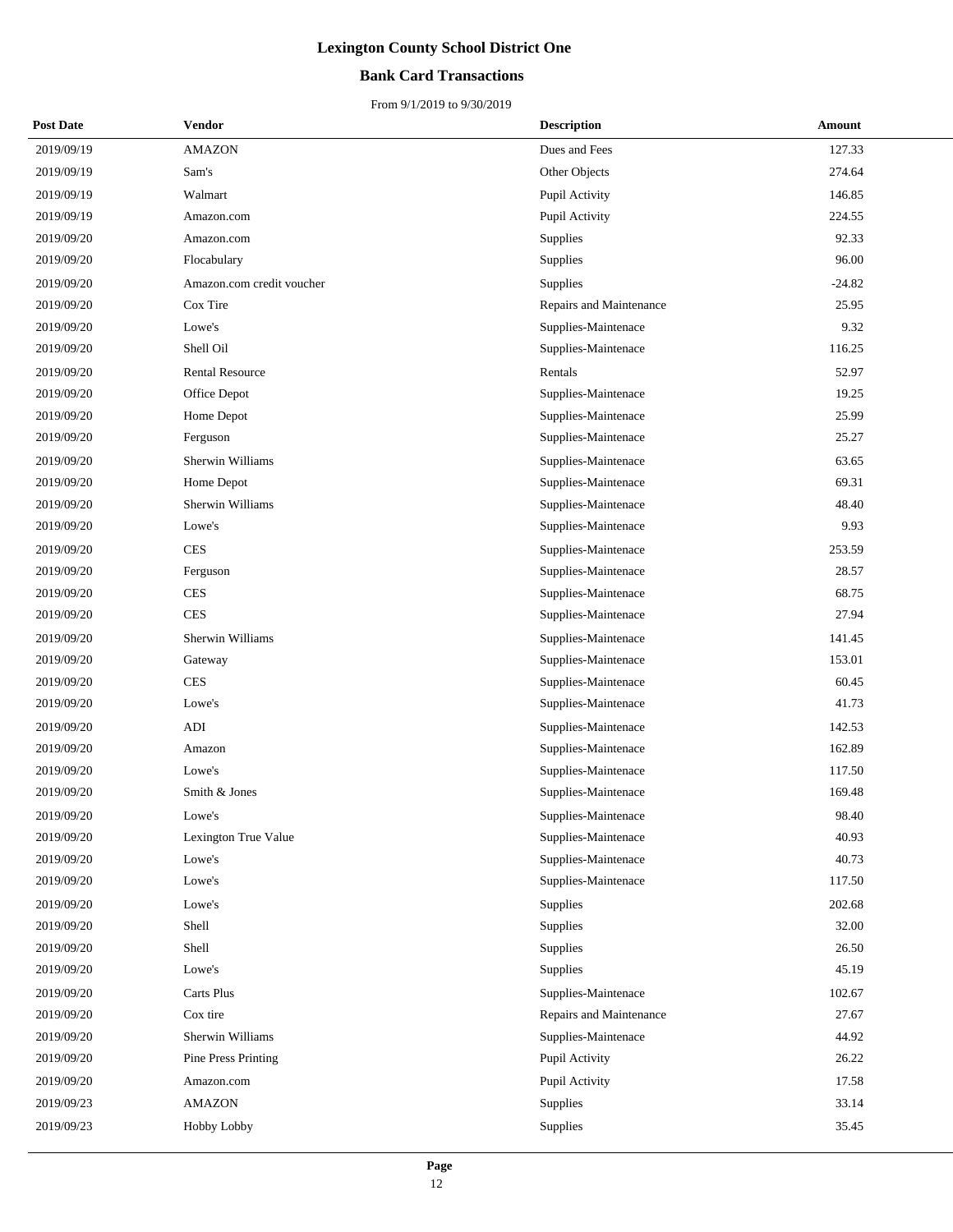### **Bank Card Transactions**

| <b>Post Date</b> | <b>Vendor</b>              | <b>Description</b>      | Amount   |
|------------------|----------------------------|-------------------------|----------|
| 2019/09/19       | <b>AMAZON</b>              | Dues and Fees           | 127.33   |
| 2019/09/19       | Sam's                      | Other Objects           | 274.64   |
| 2019/09/19       | Walmart                    | Pupil Activity          | 146.85   |
| 2019/09/19       | Amazon.com                 | Pupil Activity          | 224.55   |
| 2019/09/20       | Amazon.com                 | <b>Supplies</b>         | 92.33    |
| 2019/09/20       | Flocabulary                | Supplies                | 96.00    |
| 2019/09/20       | Amazon.com credit voucher  | Supplies                | $-24.82$ |
| 2019/09/20       | Cox Tire                   | Repairs and Maintenance | 25.95    |
| 2019/09/20       | Lowe's                     | Supplies-Maintenace     | 9.32     |
| 2019/09/20       | Shell Oil                  | Supplies-Maintenace     | 116.25   |
| 2019/09/20       | <b>Rental Resource</b>     | Rentals                 | 52.97    |
| 2019/09/20       | Office Depot               | Supplies-Maintenace     | 19.25    |
| 2019/09/20       | Home Depot                 | Supplies-Maintenace     | 25.99    |
| 2019/09/20       | Ferguson                   | Supplies-Maintenace     | 25.27    |
| 2019/09/20       | Sherwin Williams           | Supplies-Maintenace     | 63.65    |
| 2019/09/20       | Home Depot                 | Supplies-Maintenace     | 69.31    |
| 2019/09/20       | Sherwin Williams           | Supplies-Maintenace     | 48.40    |
| 2019/09/20       | Lowe's                     | Supplies-Maintenace     | 9.93     |
| 2019/09/20       | <b>CES</b>                 | Supplies-Maintenace     | 253.59   |
| 2019/09/20       | Ferguson                   | Supplies-Maintenace     | 28.57    |
| 2019/09/20       | <b>CES</b>                 | Supplies-Maintenace     | 68.75    |
| 2019/09/20       | <b>CES</b>                 | Supplies-Maintenace     | 27.94    |
| 2019/09/20       | Sherwin Williams           | Supplies-Maintenace     | 141.45   |
| 2019/09/20       | Gateway                    | Supplies-Maintenace     | 153.01   |
| 2019/09/20       | <b>CES</b>                 | Supplies-Maintenace     | 60.45    |
| 2019/09/20       | Lowe's                     | Supplies-Maintenace     | 41.73    |
| 2019/09/20       | <b>ADI</b>                 | Supplies-Maintenace     | 142.53   |
| 2019/09/20       | Amazon                     | Supplies-Maintenace     | 162.89   |
| 2019/09/20       | Lowe's                     | Supplies-Maintenace     | 117.50   |
| 2019/09/20       | Smith & Jones              | Supplies-Maintenace     | 169.48   |
| 2019/09/20       | Lowe's                     | Supplies-Maintenace     | 98.40    |
| 2019/09/20       | Lexington True Value       | Supplies-Maintenace     | 40.93    |
| 2019/09/20       | Lowe's                     | Supplies-Maintenace     | 40.73    |
| 2019/09/20       | Lowe's                     | Supplies-Maintenace     | 117.50   |
| 2019/09/20       | Lowe's                     | Supplies                | 202.68   |
| 2019/09/20       | Shell                      | Supplies                | 32.00    |
| 2019/09/20       | Shell                      | Supplies                | 26.50    |
| 2019/09/20       | Lowe's                     | Supplies                | 45.19    |
| 2019/09/20       | Carts Plus                 | Supplies-Maintenace     | 102.67   |
| 2019/09/20       | Cox tire                   | Repairs and Maintenance | 27.67    |
| 2019/09/20       | Sherwin Williams           | Supplies-Maintenace     | 44.92    |
| 2019/09/20       | <b>Pine Press Printing</b> | Pupil Activity          | 26.22    |
| 2019/09/20       | Amazon.com                 | Pupil Activity          | 17.58    |
| 2019/09/23       | <b>AMAZON</b>              | Supplies                | 33.14    |
| 2019/09/23       | Hobby Lobby                | Supplies                | 35.45    |
|                  |                            |                         |          |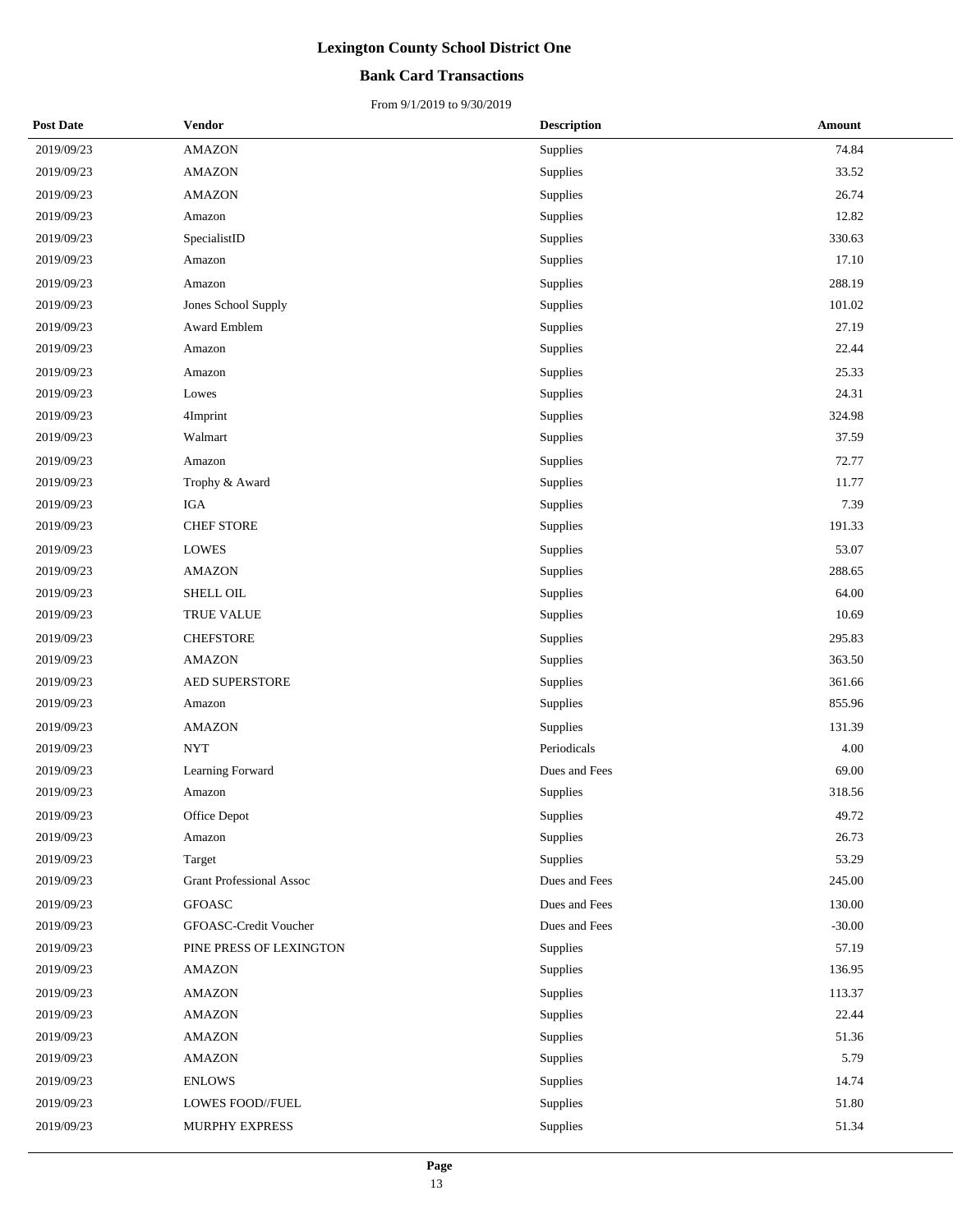## **Bank Card Transactions**

| <b>Post Date</b> | Vendor                          | <b>Description</b> | <b>Amount</b> |
|------------------|---------------------------------|--------------------|---------------|
| 2019/09/23       | <b>AMAZON</b>                   | Supplies           | 74.84         |
| 2019/09/23       | <b>AMAZON</b>                   | Supplies           | 33.52         |
| 2019/09/23       | <b>AMAZON</b>                   | Supplies           | 26.74         |
| 2019/09/23       | Amazon                          | Supplies           | 12.82         |
| 2019/09/23       | SpecialistID                    | Supplies           | 330.63        |
| 2019/09/23       | Amazon                          | Supplies           | 17.10         |
| 2019/09/23       | Amazon                          | Supplies           | 288.19        |
| 2019/09/23       | Jones School Supply             | Supplies           | 101.02        |
| 2019/09/23       | Award Emblem                    | Supplies           | 27.19         |
| 2019/09/23       | Amazon                          | Supplies           | 22.44         |
| 2019/09/23       | Amazon                          | Supplies           | 25.33         |
| 2019/09/23       | Lowes                           | Supplies           | 24.31         |
| 2019/09/23       | 4Imprint                        | Supplies           | 324.98        |
| 2019/09/23       | Walmart                         | Supplies           | 37.59         |
| 2019/09/23       | Amazon                          | Supplies           | 72.77         |
| 2019/09/23       | Trophy & Award                  | Supplies           | 11.77         |
| 2019/09/23       | <b>IGA</b>                      | Supplies           | 7.39          |
| 2019/09/23       | <b>CHEF STORE</b>               | Supplies           | 191.33        |
| 2019/09/23       | LOWES                           | Supplies           | 53.07         |
| 2019/09/23       | <b>AMAZON</b>                   | Supplies           | 288.65        |
| 2019/09/23       | SHELL OIL                       | Supplies           | 64.00         |
| 2019/09/23       | TRUE VALUE                      | Supplies           | 10.69         |
| 2019/09/23       | <b>CHEFSTORE</b>                | Supplies           | 295.83        |
| 2019/09/23       | <b>AMAZON</b>                   | Supplies           | 363.50        |
| 2019/09/23       | AED SUPERSTORE                  | Supplies           | 361.66        |
| 2019/09/23       | Amazon                          | Supplies           | 855.96        |
| 2019/09/23       | <b>AMAZON</b>                   | Supplies           | 131.39        |
| 2019/09/23       | <b>NYT</b>                      | Periodicals        | 4.00          |
| 2019/09/23       | Learning Forward                | Dues and Fees      | 69.00         |
| 2019/09/23       | Amazon                          | Supplies           | 318.56        |
| 2019/09/23       | Office Depot                    | Supplies           | 49.72         |
| 2019/09/23       | Amazon                          | Supplies           | 26.73         |
| 2019/09/23       | Target                          | Supplies           | 53.29         |
| 2019/09/23       | <b>Grant Professional Assoc</b> | Dues and Fees      | 245.00        |
| 2019/09/23       | <b>GFOASC</b>                   | Dues and Fees      | 130.00        |
| 2019/09/23       | GFOASC-Credit Voucher           | Dues and Fees      | $-30.00$      |
| 2019/09/23       | PINE PRESS OF LEXINGTON         | Supplies           | 57.19         |
| 2019/09/23       | <b>AMAZON</b>                   | Supplies           | 136.95        |
| 2019/09/23       | <b>AMAZON</b>                   | Supplies           | 113.37        |
| 2019/09/23       | <b>AMAZON</b>                   | Supplies           | 22.44         |
| 2019/09/23       | AMAZON                          | Supplies           | 51.36         |
| 2019/09/23       | <b>AMAZON</b>                   | Supplies           | 5.79          |
| 2019/09/23       | <b>ENLOWS</b>                   | Supplies           | 14.74         |
| 2019/09/23       | LOWES FOOD//FUEL                | Supplies           | 51.80         |
| 2019/09/23       | MURPHY EXPRESS                  | Supplies           | 51.34         |
|                  |                                 |                    |               |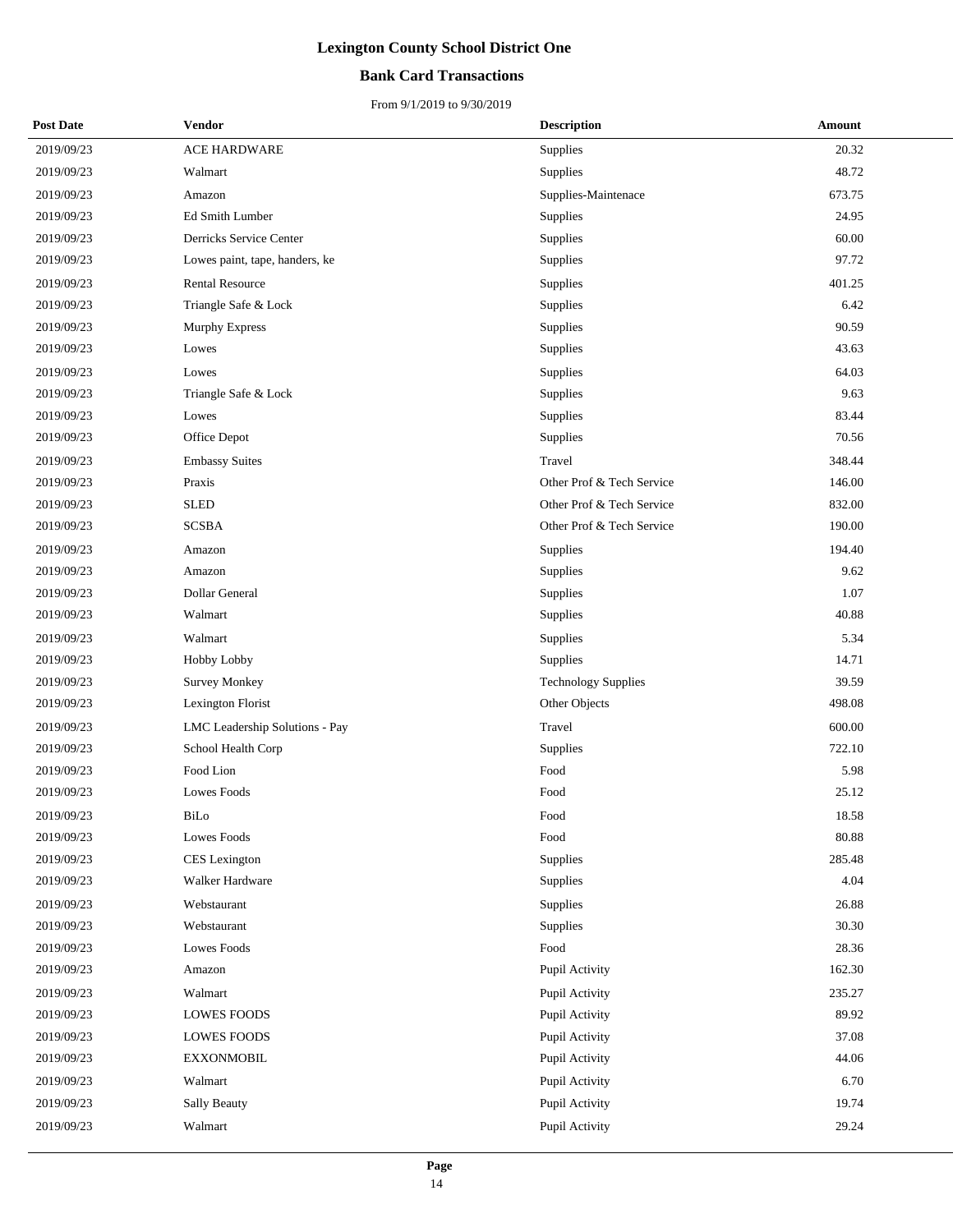## **Bank Card Transactions**

| <b>Post Date</b> | Vendor                         | <b>Description</b>         | Amount |
|------------------|--------------------------------|----------------------------|--------|
| 2019/09/23       | ACE HARDWARE                   | Supplies                   | 20.32  |
| 2019/09/23       | Walmart                        | Supplies                   | 48.72  |
| 2019/09/23       | Amazon                         | Supplies-Maintenace        | 673.75 |
| 2019/09/23       | Ed Smith Lumber                | Supplies                   | 24.95  |
| 2019/09/23       | Derricks Service Center        | Supplies                   | 60.00  |
| 2019/09/23       | Lowes paint, tape, handers, ke | Supplies                   | 97.72  |
| 2019/09/23       | <b>Rental Resource</b>         | Supplies                   | 401.25 |
| 2019/09/23       | Triangle Safe & Lock           | Supplies                   | 6.42   |
| 2019/09/23       | <b>Murphy Express</b>          | Supplies                   | 90.59  |
| 2019/09/23       | Lowes                          | Supplies                   | 43.63  |
| 2019/09/23       | Lowes                          | Supplies                   | 64.03  |
| 2019/09/23       | Triangle Safe & Lock           | Supplies                   | 9.63   |
| 2019/09/23       | Lowes                          | Supplies                   | 83.44  |
| 2019/09/23       | Office Depot                   | Supplies                   | 70.56  |
| 2019/09/23       | <b>Embassy Suites</b>          | Travel                     | 348.44 |
| 2019/09/23       | Praxis                         | Other Prof & Tech Service  | 146.00 |
| 2019/09/23       | <b>SLED</b>                    | Other Prof & Tech Service  | 832.00 |
| 2019/09/23       | <b>SCSBA</b>                   | Other Prof & Tech Service  | 190.00 |
| 2019/09/23       | Amazon                         | Supplies                   | 194.40 |
| 2019/09/23       | Amazon                         | Supplies                   | 9.62   |
| 2019/09/23       | Dollar General                 | Supplies                   | 1.07   |
| 2019/09/23       | Walmart                        | Supplies                   | 40.88  |
| 2019/09/23       | Walmart                        | Supplies                   | 5.34   |
| 2019/09/23       | Hobby Lobby                    | Supplies                   | 14.71  |
| 2019/09/23       | <b>Survey Monkey</b>           | <b>Technology Supplies</b> | 39.59  |
| 2019/09/23       | Lexington Florist              | Other Objects              | 498.08 |
| 2019/09/23       | LMC Leadership Solutions - Pay | Travel                     | 600.00 |
| 2019/09/23       | School Health Corp             | Supplies                   | 722.10 |
| 2019/09/23       | Food Lion                      | Food                       | 5.98   |
| 2019/09/23       | Lowes Foods                    | Food                       | 25.12  |
| 2019/09/23       | BiLo                           | Food                       | 18.58  |
| 2019/09/23       | Lowes Foods                    | Food                       | 80.88  |
| 2019/09/23       | CES Lexington                  | Supplies                   | 285.48 |
| 2019/09/23       | Walker Hardware                | Supplies                   | 4.04   |
| 2019/09/23       | Webstaurant                    | Supplies                   | 26.88  |
| 2019/09/23       | Webstaurant                    | Supplies                   | 30.30  |
| 2019/09/23       | Lowes Foods                    | Food                       | 28.36  |
| 2019/09/23       | Amazon                         | Pupil Activity             | 162.30 |
| 2019/09/23       | Walmart                        | Pupil Activity             | 235.27 |
| 2019/09/23       | <b>LOWES FOODS</b>             | Pupil Activity             | 89.92  |
| 2019/09/23       | <b>LOWES FOODS</b>             | Pupil Activity             | 37.08  |
| 2019/09/23       | <b>EXXONMOBIL</b>              | Pupil Activity             | 44.06  |
| 2019/09/23       | Walmart                        | Pupil Activity             | 6.70   |
| 2019/09/23       | Sally Beauty                   | Pupil Activity             | 19.74  |
| 2019/09/23       | Walmart                        | Pupil Activity             | 29.24  |
|                  |                                |                            |        |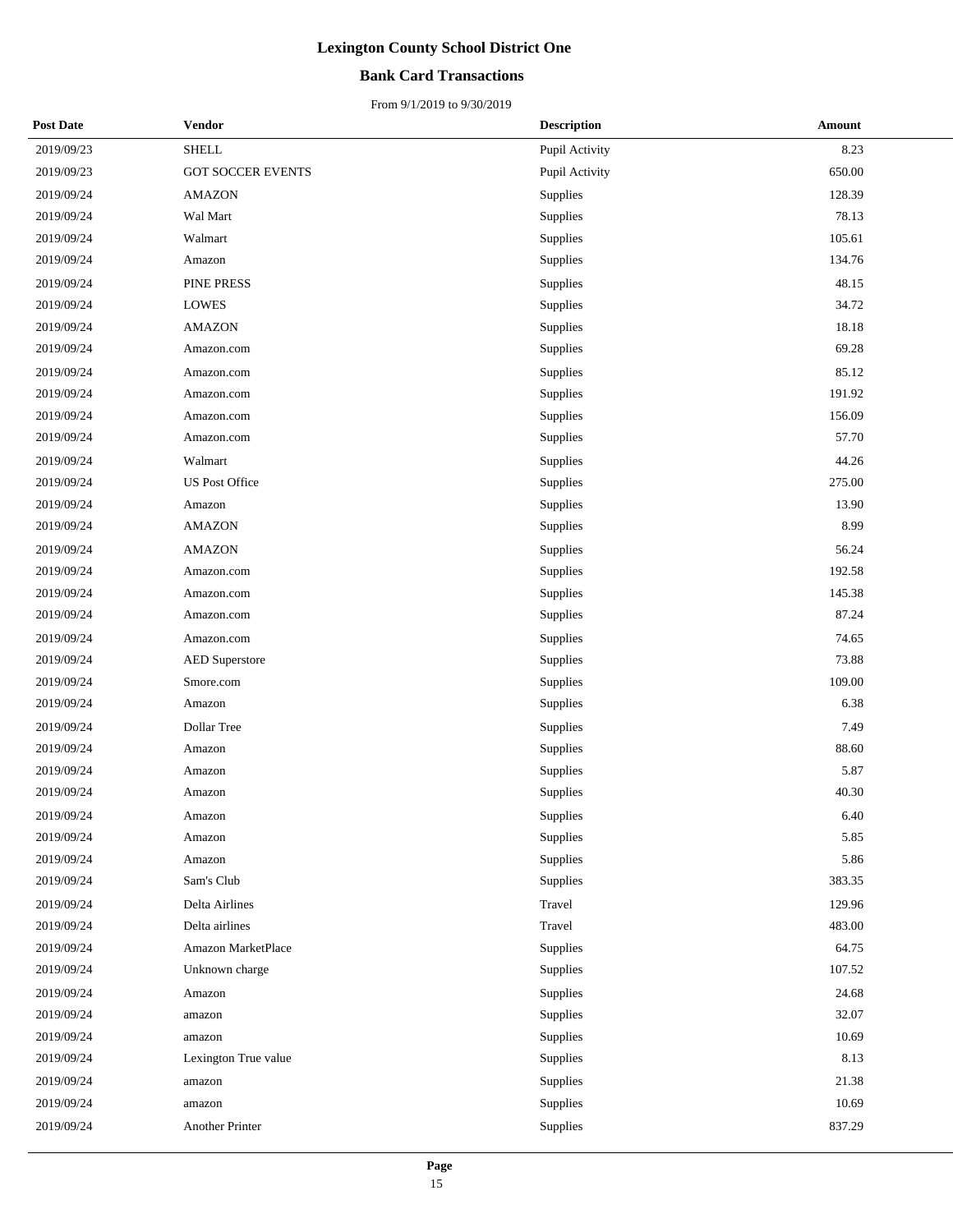## **Bank Card Transactions**

| <b>Post Date</b> | Vendor                   | <b>Description</b> | <b>Amount</b> |
|------------------|--------------------------|--------------------|---------------|
| 2019/09/23       | <b>SHELL</b>             | Pupil Activity     | 8.23          |
| 2019/09/23       | <b>GOT SOCCER EVENTS</b> | Pupil Activity     | 650.00        |
| 2019/09/24       | <b>AMAZON</b>            | Supplies           | 128.39        |
| 2019/09/24       | Wal Mart                 | Supplies           | 78.13         |
| 2019/09/24       | Walmart                  | Supplies           | 105.61        |
| 2019/09/24       | Amazon                   | Supplies           | 134.76        |
| 2019/09/24       | PINE PRESS               | Supplies           | 48.15         |
| 2019/09/24       | <b>LOWES</b>             | Supplies           | 34.72         |
| 2019/09/24       | <b>AMAZON</b>            | Supplies           | 18.18         |
| 2019/09/24       | Amazon.com               | Supplies           | 69.28         |
| 2019/09/24       | Amazon.com               | Supplies           | 85.12         |
| 2019/09/24       | Amazon.com               | Supplies           | 191.92        |
| 2019/09/24       | Amazon.com               | Supplies           | 156.09        |
| 2019/09/24       | Amazon.com               | Supplies           | 57.70         |
| 2019/09/24       | Walmart                  | Supplies           | 44.26         |
| 2019/09/24       | <b>US Post Office</b>    | Supplies           | 275.00        |
| 2019/09/24       | Amazon                   | Supplies           | 13.90         |
| 2019/09/24       | AMAZON                   | Supplies           | 8.99          |
| 2019/09/24       | <b>AMAZON</b>            | Supplies           | 56.24         |
| 2019/09/24       | Amazon.com               | Supplies           | 192.58        |
| 2019/09/24       | Amazon.com               | Supplies           | 145.38        |
| 2019/09/24       | Amazon.com               | Supplies           | 87.24         |
| 2019/09/24       | Amazon.com               | Supplies           | 74.65         |
| 2019/09/24       | <b>AED Superstore</b>    | Supplies           | 73.88         |
| 2019/09/24       | Smore.com                | Supplies           | 109.00        |
| 2019/09/24       | Amazon                   | Supplies           | 6.38          |
| 2019/09/24       | Dollar Tree              | Supplies           | 7.49          |
| 2019/09/24       | Amazon                   | Supplies           | 88.60         |
| 2019/09/24       | Amazon                   | Supplies           | 5.87          |
| 2019/09/24       | Amazon                   | Supplies           | 40.30         |
| 2019/09/24       | Amazon                   | Supplies           | 6.40          |
| 2019/09/24       | Amazon                   | Supplies           | 5.85          |
| 2019/09/24       | Amazon                   | Supplies           | 5.86          |
| 2019/09/24       | Sam's Club               | Supplies           | 383.35        |
| 2019/09/24       | Delta Airlines           | Travel             | 129.96        |
| 2019/09/24       | Delta airlines           | Travel             | 483.00        |
| 2019/09/24       | Amazon MarketPlace       | Supplies           | 64.75         |
| 2019/09/24       | Unknown charge           | Supplies           | 107.52        |
| 2019/09/24       | Amazon                   | Supplies           | 24.68         |
| 2019/09/24       | amazon                   | Supplies           | 32.07         |
| 2019/09/24       | amazon                   | Supplies           | 10.69         |
| 2019/09/24       | Lexington True value     | Supplies           | 8.13          |
| 2019/09/24       | amazon                   | Supplies           | 21.38         |
| 2019/09/24       | amazon                   | Supplies           | 10.69         |
| 2019/09/24       | Another Printer          | Supplies           | 837.29        |
|                  |                          |                    |               |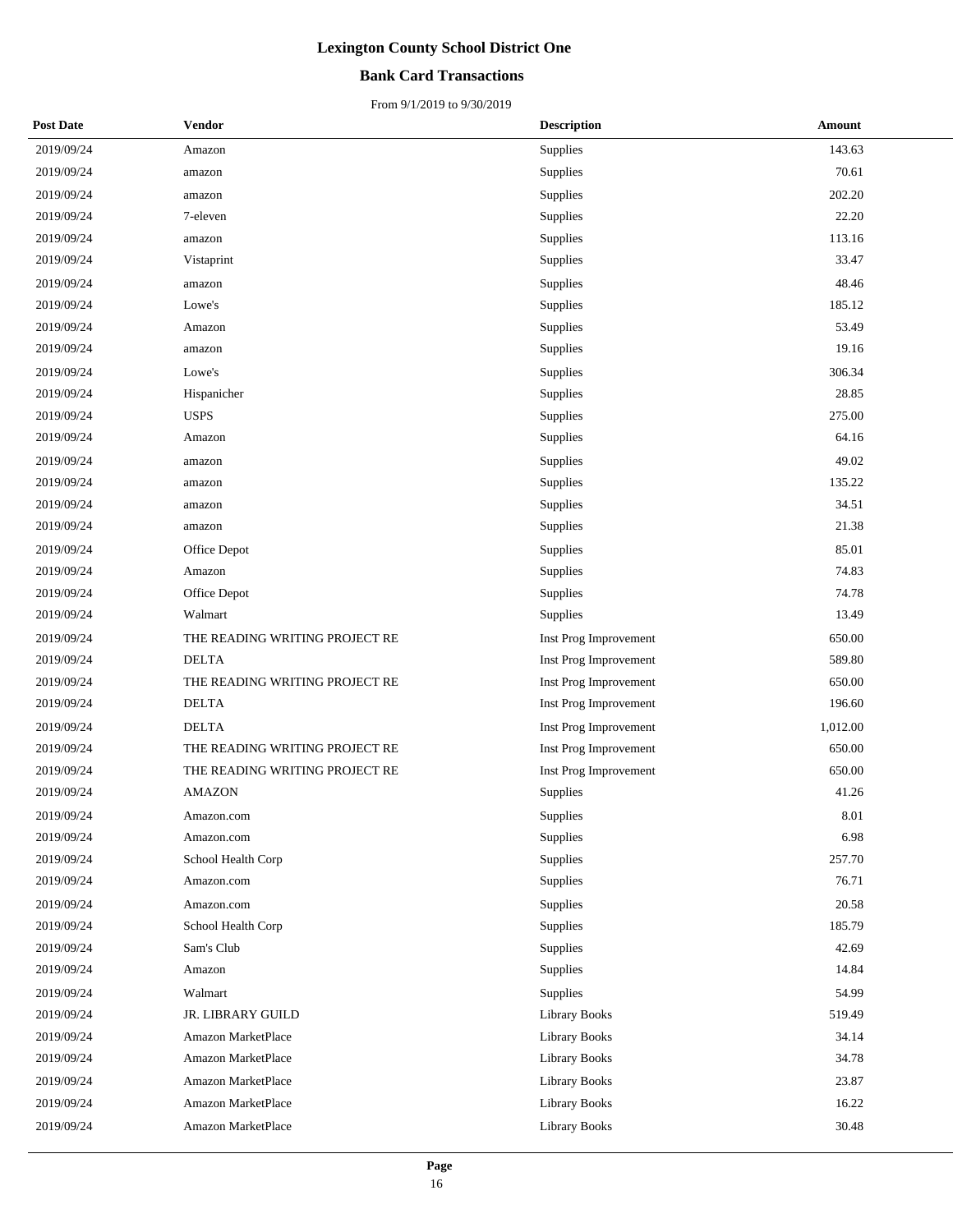### **Bank Card Transactions**

| <b>Post Date</b> | Vendor                         | <b>Description</b>    | Amount   |
|------------------|--------------------------------|-----------------------|----------|
| 2019/09/24       | Amazon                         | Supplies              | 143.63   |
| 2019/09/24       | amazon                         | Supplies              | 70.61    |
| 2019/09/24       | amazon                         | Supplies              | 202.20   |
| 2019/09/24       | 7-eleven                       | Supplies              | 22.20    |
| 2019/09/24       | amazon                         | Supplies              | 113.16   |
| 2019/09/24       | Vistaprint                     | Supplies              | 33.47    |
| 2019/09/24       | amazon                         | Supplies              | 48.46    |
| 2019/09/24       | Lowe's                         | Supplies              | 185.12   |
| 2019/09/24       | Amazon                         | Supplies              | 53.49    |
| 2019/09/24       | amazon                         | Supplies              | 19.16    |
| 2019/09/24       | Lowe's                         | Supplies              | 306.34   |
| 2019/09/24       | Hispanicher                    | Supplies              | 28.85    |
| 2019/09/24       | <b>USPS</b>                    | Supplies              | 275.00   |
| 2019/09/24       | Amazon                         | Supplies              | 64.16    |
| 2019/09/24       | amazon                         | Supplies              | 49.02    |
| 2019/09/24       | amazon                         | Supplies              | 135.22   |
| 2019/09/24       | amazon                         | Supplies              | 34.51    |
| 2019/09/24       | amazon                         | Supplies              | 21.38    |
| 2019/09/24       | Office Depot                   | Supplies              | 85.01    |
| 2019/09/24       | Amazon                         | Supplies              | 74.83    |
| 2019/09/24       | Office Depot                   | Supplies              | 74.78    |
| 2019/09/24       | Walmart                        | Supplies              | 13.49    |
| 2019/09/24       | THE READING WRITING PROJECT RE | Inst Prog Improvement | 650.00   |
| 2019/09/24       | <b>DELTA</b>                   | Inst Prog Improvement | 589.80   |
| 2019/09/24       | THE READING WRITING PROJECT RE | Inst Prog Improvement | 650.00   |
| 2019/09/24       | <b>DELTA</b>                   | Inst Prog Improvement | 196.60   |
| 2019/09/24       | <b>DELTA</b>                   | Inst Prog Improvement | 1,012.00 |
| 2019/09/24       | THE READING WRITING PROJECT RE | Inst Prog Improvement | 650.00   |
| 2019/09/24       | THE READING WRITING PROJECT RE | Inst Prog Improvement | 650.00   |
| 2019/09/24       | <b>AMAZON</b>                  | Supplies              | 41.26    |
| 2019/09/24       | Amazon.com                     | Supplies              | 8.01     |
| 2019/09/24       | Amazon.com                     | Supplies              | 6.98     |
| 2019/09/24       | School Health Corp             | Supplies              | 257.70   |
| 2019/09/24       | Amazon.com                     | Supplies              | 76.71    |
| 2019/09/24       | Amazon.com                     | Supplies              | 20.58    |
| 2019/09/24       | School Health Corp             | Supplies              | 185.79   |
| 2019/09/24       | Sam's Club                     | Supplies              | 42.69    |
| 2019/09/24       | Amazon                         | Supplies              | 14.84    |
| 2019/09/24       | Walmart                        | Supplies              | 54.99    |
| 2019/09/24       | JR. LIBRARY GUILD              | Library Books         | 519.49   |
| 2019/09/24       | Amazon MarketPlace             | Library Books         | 34.14    |
| 2019/09/24       | Amazon MarketPlace             | <b>Library Books</b>  | 34.78    |
| 2019/09/24       | Amazon MarketPlace             | Library Books         | 23.87    |
| 2019/09/24       | Amazon MarketPlace             | Library Books         | 16.22    |
| 2019/09/24       | Amazon MarketPlace             | Library Books         | 30.48    |
|                  |                                |                       |          |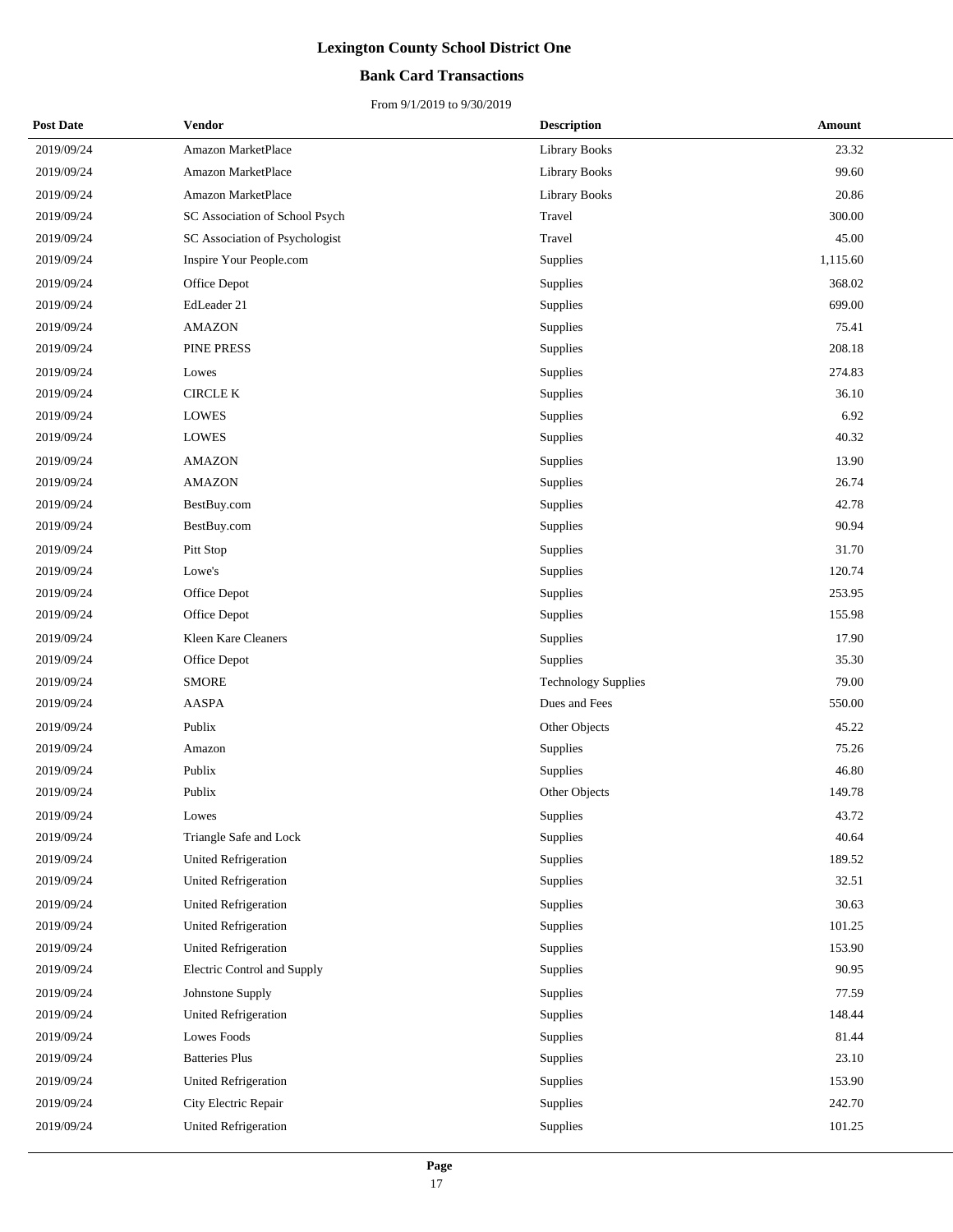## **Bank Card Transactions**

| <b>Post Date</b> | Vendor                         | <b>Description</b>         | Amount   |
|------------------|--------------------------------|----------------------------|----------|
| 2019/09/24       | Amazon MarketPlace             | <b>Library Books</b>       | 23.32    |
| 2019/09/24       | Amazon MarketPlace             | Library Books              | 99.60    |
| 2019/09/24       | Amazon MarketPlace             | <b>Library Books</b>       | 20.86    |
| 2019/09/24       | SC Association of School Psych | Travel                     | 300.00   |
| 2019/09/24       | SC Association of Psychologist | Travel                     | 45.00    |
| 2019/09/24       | Inspire Your People.com        | Supplies                   | 1,115.60 |
| 2019/09/24       | Office Depot                   | Supplies                   | 368.02   |
| 2019/09/24       | EdLeader 21                    | Supplies                   | 699.00   |
| 2019/09/24       | <b>AMAZON</b>                  | Supplies                   | 75.41    |
| 2019/09/24       | PINE PRESS                     | Supplies                   | 208.18   |
| 2019/09/24       | Lowes                          | Supplies                   | 274.83   |
| 2019/09/24       | <b>CIRCLE K</b>                | Supplies                   | 36.10    |
| 2019/09/24       | <b>LOWES</b>                   | Supplies                   | 6.92     |
| 2019/09/24       | <b>LOWES</b>                   | Supplies                   | 40.32    |
| 2019/09/24       | <b>AMAZON</b>                  | Supplies                   | 13.90    |
| 2019/09/24       | <b>AMAZON</b>                  | Supplies                   | 26.74    |
| 2019/09/24       | BestBuy.com                    | <b>Supplies</b>            | 42.78    |
| 2019/09/24       | BestBuy.com                    | Supplies                   | 90.94    |
| 2019/09/24       | Pitt Stop                      | <b>Supplies</b>            | 31.70    |
| 2019/09/24       | Lowe's                         | Supplies                   | 120.74   |
| 2019/09/24       | Office Depot                   | Supplies                   | 253.95   |
| 2019/09/24       | Office Depot                   | Supplies                   | 155.98   |
| 2019/09/24       | Kleen Kare Cleaners            | Supplies                   | 17.90    |
| 2019/09/24       | Office Depot                   | Supplies                   | 35.30    |
| 2019/09/24       | <b>SMORE</b>                   | <b>Technology Supplies</b> | 79.00    |
| 2019/09/24       | AASPA                          | Dues and Fees              | 550.00   |
| 2019/09/24       | Publix                         | Other Objects              | 45.22    |
| 2019/09/24       | Amazon                         | Supplies                   | 75.26    |
| 2019/09/24       | Publix                         | Supplies                   | 46.80    |
| 2019/09/24       | Publix                         | Other Objects              | 149.78   |
| 2019/09/24       | Lowes                          | Supplies                   | 43.72    |
| 2019/09/24       | Triangle Safe and Lock         | <b>Supplies</b>            | 40.64    |
| 2019/09/24       | United Refrigeration           | Supplies                   | 189.52   |
| 2019/09/24       | United Refrigeration           | Supplies                   | 32.51    |
| 2019/09/24       | <b>United Refrigeration</b>    | Supplies                   | 30.63    |
| 2019/09/24       | <b>United Refrigeration</b>    | Supplies                   | 101.25   |
| 2019/09/24       | <b>United Refrigeration</b>    | Supplies                   | 153.90   |
| 2019/09/24       | Electric Control and Supply    | Supplies                   | 90.95    |
| 2019/09/24       | Johnstone Supply               | Supplies                   | 77.59    |
| 2019/09/24       | <b>United Refrigeration</b>    | Supplies                   | 148.44   |
| 2019/09/24       | Lowes Foods                    | Supplies                   | 81.44    |
| 2019/09/24       | <b>Batteries Plus</b>          | Supplies                   | 23.10    |
| 2019/09/24       | United Refrigeration           | Supplies                   | 153.90   |
| 2019/09/24       | City Electric Repair           | Supplies                   | 242.70   |
| 2019/09/24       | United Refrigeration           | Supplies                   | 101.25   |
|                  |                                |                            |          |